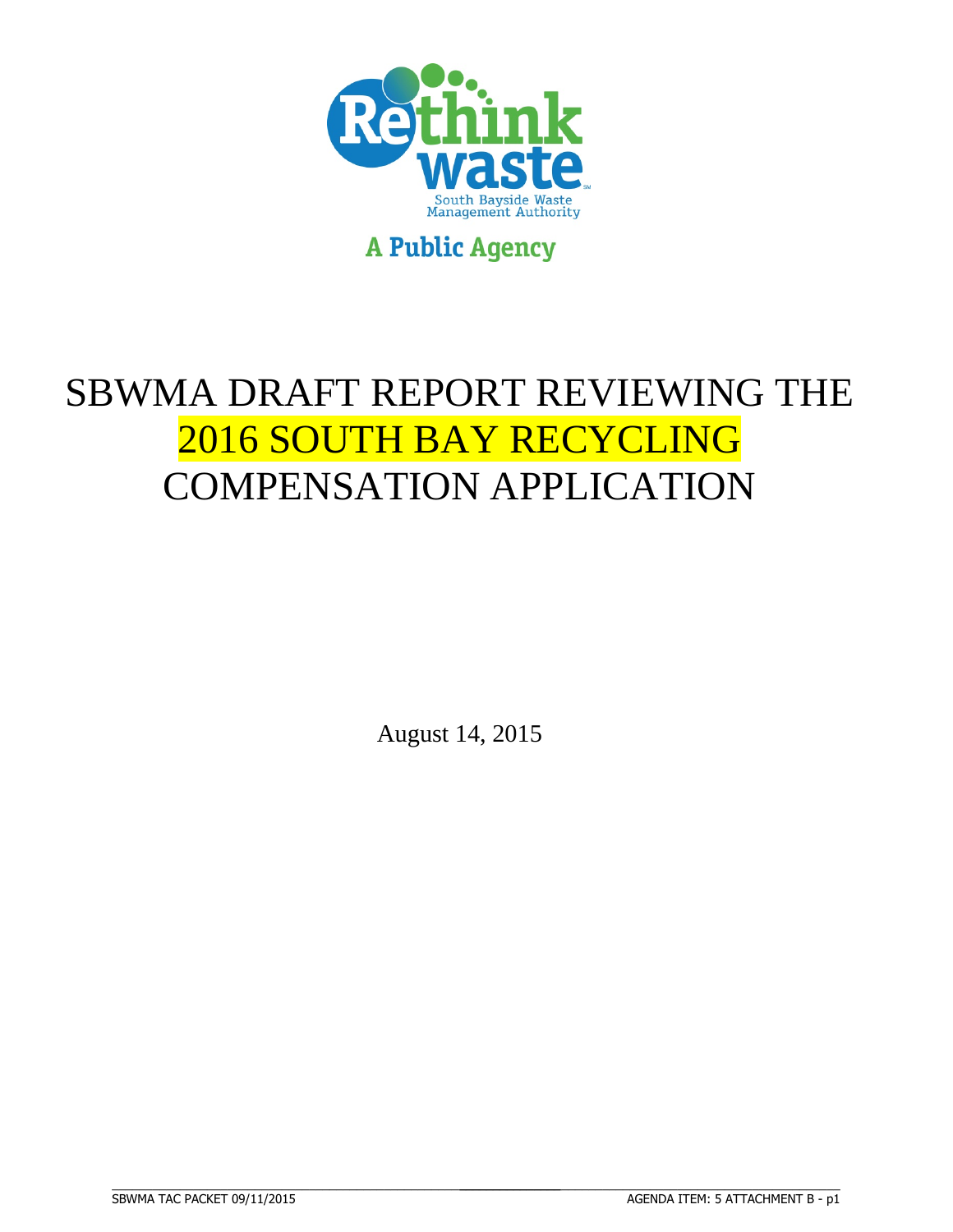

**A Public Agency** 

# SBWMA DRAFT REPORT REVIEWING THE 2016 SOUTH BAY RECYCLING COMPENSATION APPLICATION

August 14, 2015

 $\_$  , and the set of the set of the set of the set of the set of the set of the set of the set of the set of the set of the set of the set of the set of the set of the set of the set of the set of the set of the set of th

\_\_\_\_\_\_\_\_\_\_\_\_\_\_\_\_\_\_\_\_\_\_\_\_\_\_\_\_\_\_\_\_\_\_\_\_\_\_\_\_\_\_\_\_\_\_\_\_\_\_\_\_\_\_\_\_ AGENDA ITEM: 5 ATTACHMENT B - p1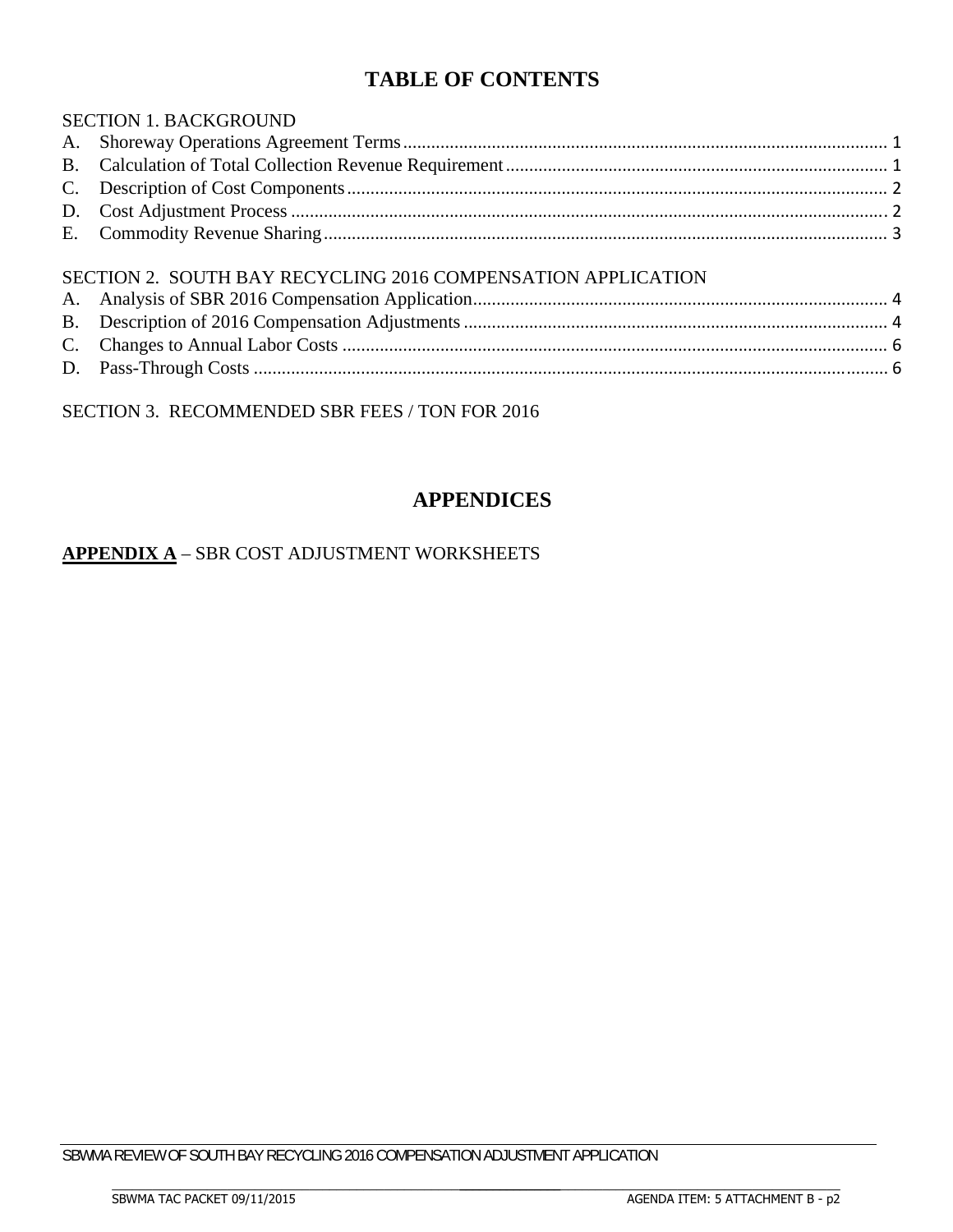### **TABLE OF CONTENTS**

| <b>SECTION 1. BACKGROUND</b>                                 |  |
|--------------------------------------------------------------|--|
|                                                              |  |
|                                                              |  |
|                                                              |  |
|                                                              |  |
|                                                              |  |
| SECTION 2. SOUTH BAY RECYCLING 2016 COMPENSATION APPLICATION |  |
|                                                              |  |

SECTION 3. RECOMMENDED SBR FEES / TON FOR 2016

#### **APPENDICES**

#### **APPENDIX A** – SBR COST ADJUSTMENT WORKSHEETS

 $\_$  , and the set of the set of the set of the set of the set of the set of the set of the set of the set of the set of the set of the set of the set of the set of the set of the set of the set of the set of the set of th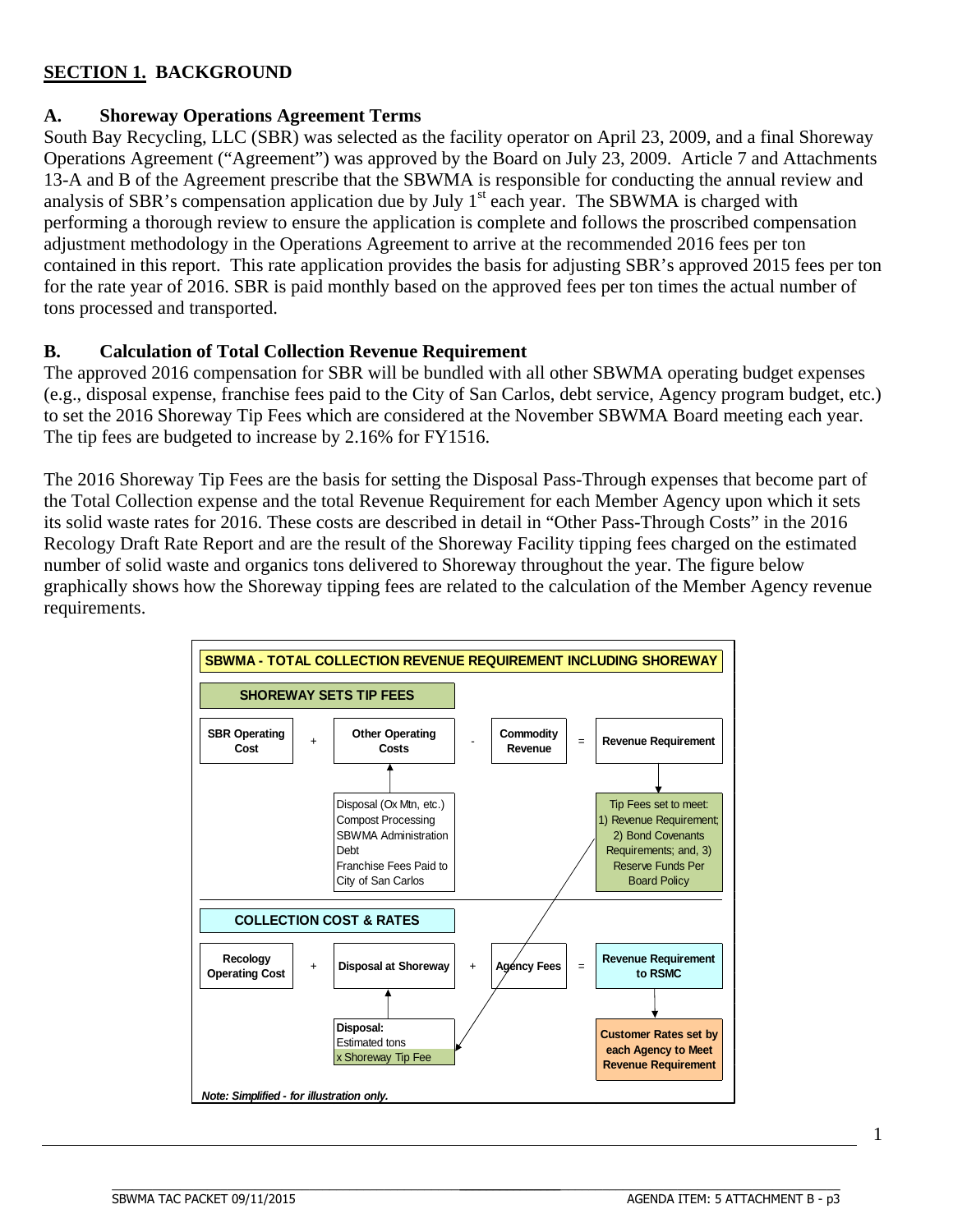#### **SECTION 1. BACKGROUND**

#### **A. Shoreway Operations Agreement Terms**

South Bay Recycling, LLC (SBR) was selected as the facility operator on April 23, 2009, and a final Shoreway Operations Agreement ("Agreement") was approved by the Board on July 23, 2009. Article 7 and Attachments 13-A and B of the Agreement prescribe that the SBWMA is responsible for conducting the annual review and analysis of SBR's compensation application due by July  $1<sup>st</sup>$  each year. The SBWMA is charged with performing a thorough review to ensure the application is complete and follows the proscribed compensation adjustment methodology in the Operations Agreement to arrive at the recommended 2016 fees per ton contained in this report. This rate application provides the basis for adjusting SBR's approved 2015 fees per ton for the rate year of 2016. SBR is paid monthly based on the approved fees per ton times the actual number of tons processed and transported.

#### **B. Calculation of Total Collection Revenue Requirement**

The approved 2016 compensation for SBR will be bundled with all other SBWMA operating budget expenses (e.g., disposal expense, franchise fees paid to the City of San Carlos, debt service, Agency program budget, etc.) to set the 2016 Shoreway Tip Fees which are considered at the November SBWMA Board meeting each year. The tip fees are budgeted to increase by 2.16% for FY1516.

The 2016 Shoreway Tip Fees are the basis for setting the Disposal Pass-Through expenses that become part of the Total Collection expense and the total Revenue Requirement for each Member Agency upon which it sets its solid waste rates for 2016. These costs are described in detail in "Other Pass-Through Costs" in the 2016 Recology Draft Rate Report and are the result of the Shoreway Facility tipping fees charged on the estimated number of solid waste and organics tons delivered to Shoreway throughout the year. The figure below graphically shows how the Shoreway tipping fees are related to the calculation of the Member Agency revenue requirements.

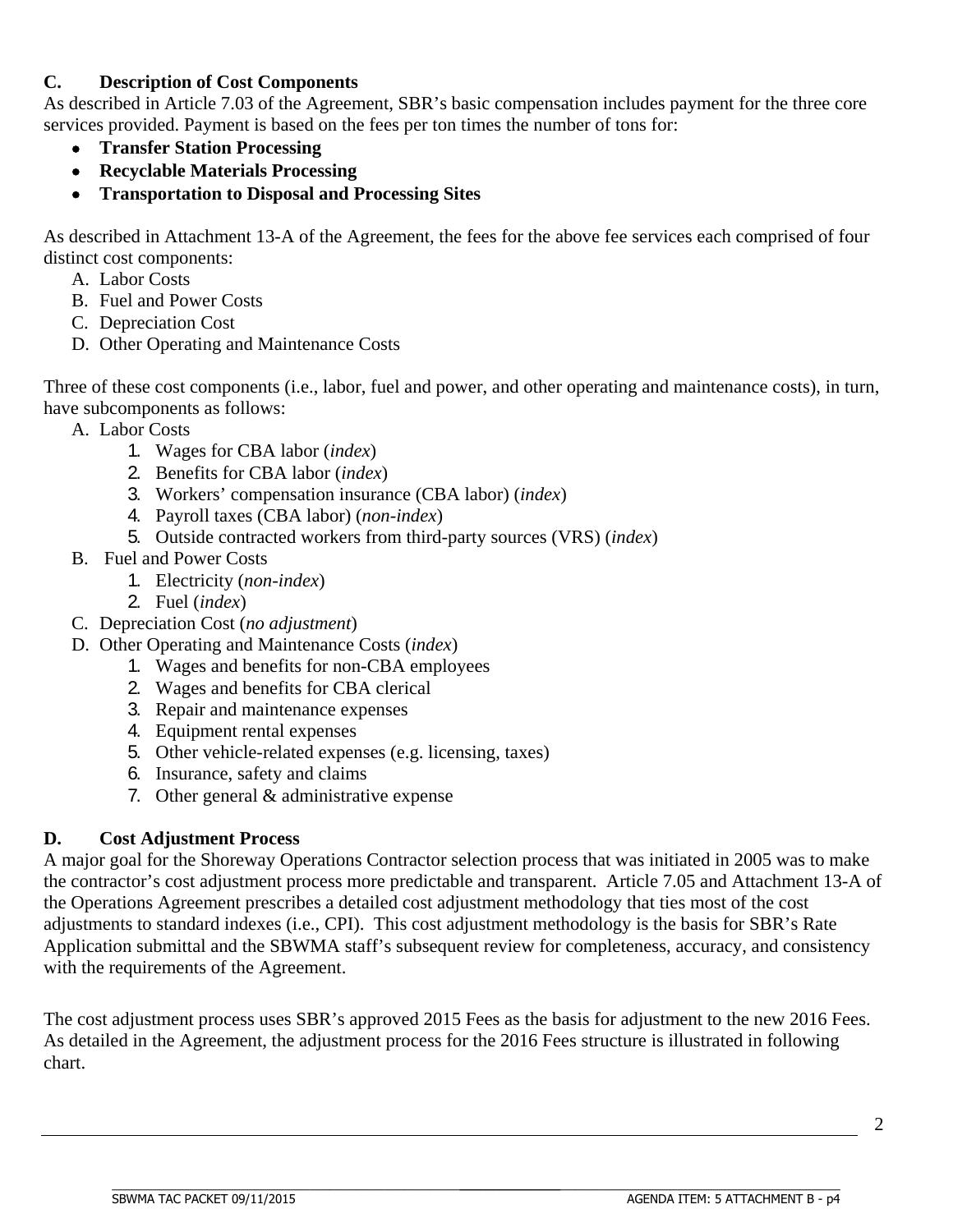#### **C. Description of Cost Components**

As described in Article 7.03 of the Agreement, SBR's basic compensation includes payment for the three core services provided. Payment is based on the fees per ton times the number of tons for:

- **Transfer Station Processing**
- **Recyclable Materials Processing**
- **Transportation to Disposal and Processing Sites**

As described in Attachment 13-A of the Agreement, the fees for the above fee services each comprised of four distinct cost components:

- A. Labor Costs
- B. Fuel and Power Costs
- C. Depreciation Cost
- D. Other Operating and Maintenance Costs

Three of these cost components (i.e., labor, fuel and power, and other operating and maintenance costs), in turn, have subcomponents as follows:

- A. Labor Costs
	- 1. Wages for CBA labor (*index*)
	- 2. Benefits for CBA labor (*index*)
	- 3. Workers' compensation insurance (CBA labor) (*index*)
	- 4. Payroll taxes (CBA labor) (*non-index*)
	- 5. Outside contracted workers from third-party sources (VRS) (*index*)
- B. Fuel and Power Costs
	- 1. Electricity (*non-index*)
	- 2. Fuel (*index*)
- C. Depreciation Cost (*no adjustment*)
- D. Other Operating and Maintenance Costs (*index*)
	- 1. Wages and benefits for non-CBA employees
	- 2. Wages and benefits for CBA clerical
	- 3. Repair and maintenance expenses
	- 4. Equipment rental expenses
	- 5. Other vehicle-related expenses (e.g. licensing, taxes)
	- 6. Insurance, safety and claims
	- 7. Other general & administrative expense

#### **D. Cost Adjustment Process**

A major goal for the Shoreway Operations Contractor selection process that was initiated in 2005 was to make the contractor's cost adjustment process more predictable and transparent. Article 7.05 and Attachment 13-A of the Operations Agreement prescribes a detailed cost adjustment methodology that ties most of the cost adjustments to standard indexes (i.e., CPI). This cost adjustment methodology is the basis for SBR's Rate Application submittal and the SBWMA staff's subsequent review for completeness, accuracy, and consistency with the requirements of the Agreement.

The cost adjustment process uses SBR's approved 2015 Fees as the basis for adjustment to the new 2016 Fees. As detailed in the Agreement, the adjustment process for the 2016 Fees structure is illustrated in following chart.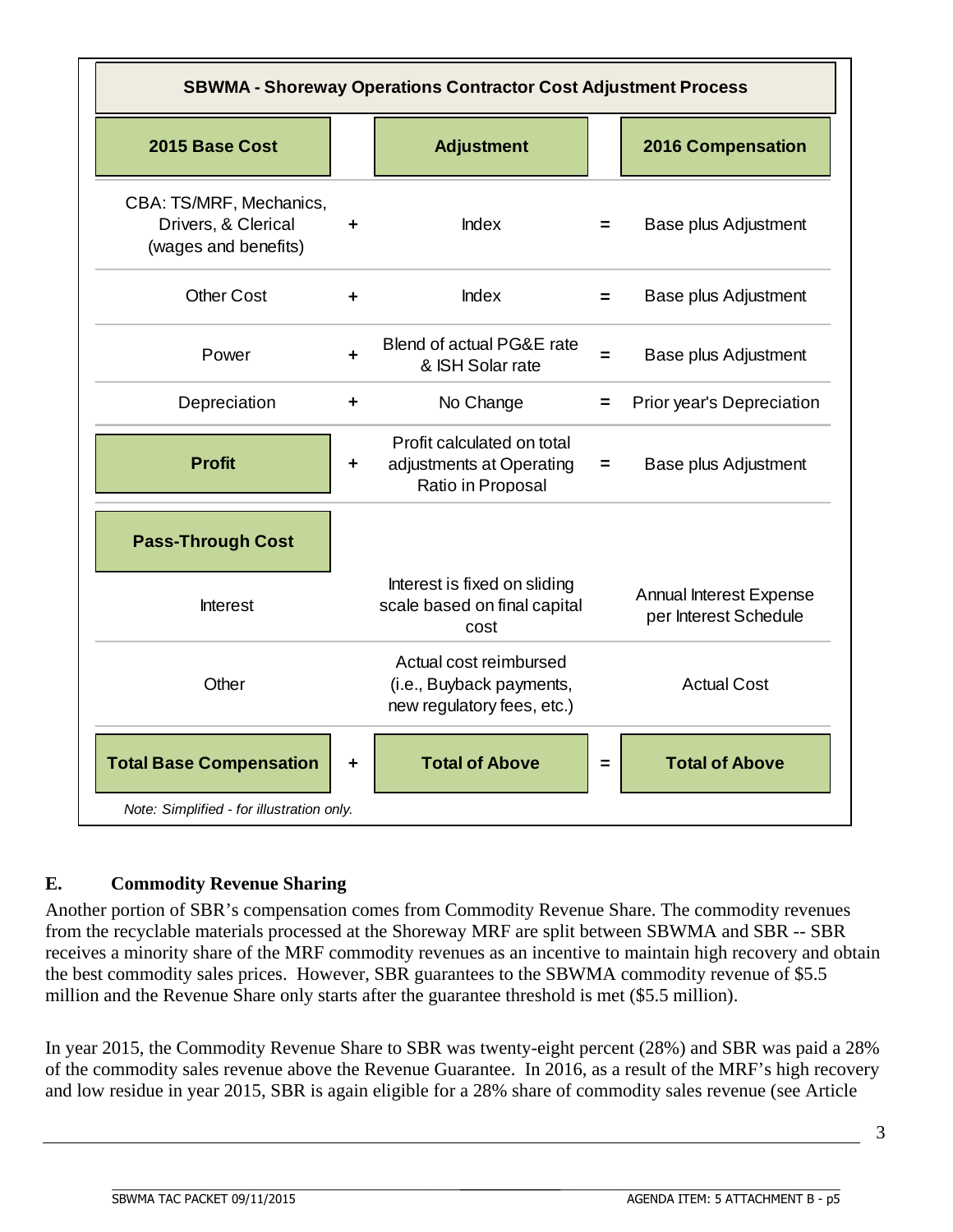| <b>SBWMA - Shoreway Operations Contractor Cost Adjustment Process</b>  |   |                                                                                  |          |                                                  |  |  |  |  |
|------------------------------------------------------------------------|---|----------------------------------------------------------------------------------|----------|--------------------------------------------------|--|--|--|--|
| 2015 Base Cost                                                         |   | <b>Adjustment</b>                                                                |          | <b>2016 Compensation</b>                         |  |  |  |  |
| CBA: TS/MRF, Mechanics,<br>Drivers, & Clerical<br>(wages and benefits) | ÷ | <b>Index</b>                                                                     | =        | Base plus Adjustment                             |  |  |  |  |
| <b>Other Cost</b>                                                      | ÷ | <b>Index</b>                                                                     | $=$      | Base plus Adjustment                             |  |  |  |  |
| Power                                                                  | ÷ | Blend of actual PG&E rate<br>& ISH Solar rate                                    | $=$      | Base plus Adjustment                             |  |  |  |  |
| Depreciation                                                           | ٠ | No Change                                                                        | =        | Prior year's Depreciation                        |  |  |  |  |
| <b>Profit</b>                                                          | ٠ | Profit calculated on total<br>adjustments at Operating<br>Ratio in Proposal      | $=$      | <b>Base plus Adjustment</b>                      |  |  |  |  |
| <b>Pass-Through Cost</b>                                               |   |                                                                                  |          |                                                  |  |  |  |  |
| <b>Interest</b>                                                        |   | Interest is fixed on sliding<br>scale based on final capital<br>cost             |          | Annual Interest Expense<br>per Interest Schedule |  |  |  |  |
| Other                                                                  |   | Actual cost reimbursed<br>(i.e., Buyback payments,<br>new regulatory fees, etc.) |          | <b>Actual Cost</b>                               |  |  |  |  |
| <b>Total Base Compensation</b>                                         | ÷ | <b>Total of Above</b>                                                            | $\equiv$ | <b>Total of Above</b>                            |  |  |  |  |
| Note: Simplified - for illustration only.                              |   |                                                                                  |          |                                                  |  |  |  |  |

#### **E. Commodity Revenue Sharing**

Another portion of SBR's compensation comes from Commodity Revenue Share. The commodity revenues from the recyclable materials processed at the Shoreway MRF are split between SBWMA and SBR -- SBR receives a minority share of the MRF commodity revenues as an incentive to maintain high recovery and obtain the best commodity sales prices. However, SBR guarantees to the SBWMA commodity revenue of \$5.5 million and the Revenue Share only starts after the guarantee threshold is met (\$5.5 million).

In year 2015, the Commodity Revenue Share to SBR was twenty-eight percent (28%) and SBR was paid a 28% of the commodity sales revenue above the Revenue Guarantee. In 2016, as a result of the MRF's high recovery and low residue in year 2015, SBR is again eligible for a 28% share of commodity sales revenue (see Article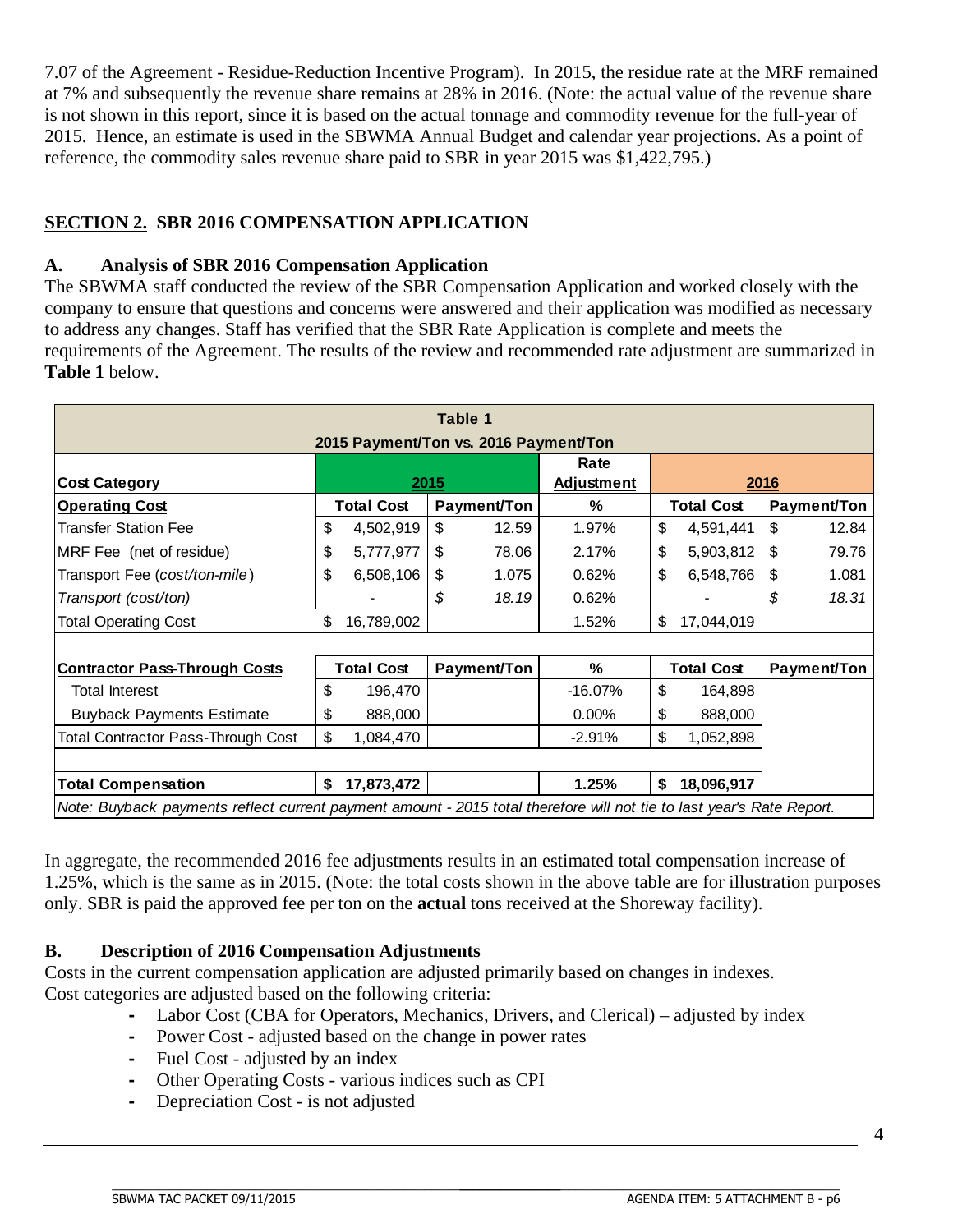7.07 of the Agreement - Residue-Reduction Incentive Program). In 2015, the residue rate at the MRF remained at 7% and subsequently the revenue share remains at 28% in 2016. (Note: the actual value of the revenue share is not shown in this report, since it is based on the actual tonnage and commodity revenue for the full-year of 2015. Hence, an estimate is used in the SBWMA Annual Budget and calendar year projections. As a point of reference, the commodity sales revenue share paid to SBR in year 2015 was \$1,422,795.)

#### **SECTION 2. SBR 2016 COMPENSATION APPLICATION**

#### **A. Analysis of SBR 2016 Compensation Application**

The SBWMA staff conducted the review of the SBR Compensation Application and worked closely with the company to ensure that questions and concerns were answered and their application was modified as necessary to address any changes. Staff has verified that the SBR Rate Application is complete and meets the requirements of the Agreement. The results of the review and recommended rate adjustment are summarized in **Table 1** below.

| Table 1                                                                                                               |    |                                       |      |             |            |    |                   |      |             |
|-----------------------------------------------------------------------------------------------------------------------|----|---------------------------------------|------|-------------|------------|----|-------------------|------|-------------|
|                                                                                                                       |    | 2015 Payment/Ton vs. 2016 Payment/Ton |      |             |            |    |                   |      |             |
|                                                                                                                       |    |                                       |      |             | Rate       |    |                   |      |             |
| <b>Cost Category</b>                                                                                                  |    |                                       | 2015 |             | Adjustment |    |                   | 2016 |             |
| <b>Operating Cost</b>                                                                                                 |    | <b>Total Cost</b>                     |      | Payment/Ton | %          |    | <b>Total Cost</b> |      | Payment/Ton |
| <b>Transfer Station Fee</b>                                                                                           | \$ | 4,502,919                             | \$   | 12.59       | 1.97%      | \$ | 4,591,441         | \$   | 12.84       |
| MRF Fee (net of residue)                                                                                              | \$ | 5,777,977                             | \$.  | 78.06       | 2.17%      | \$ | 5,903,812         | \$   | 79.76       |
| Transport Fee (cost/ton-mile)                                                                                         | \$ | 6,508,106                             | \$   | 1.075       | 0.62%      | \$ | 6,548,766         | \$   | 1.081       |
| Transport (cost/ton)                                                                                                  |    |                                       | \$   | 18.19       | 0.62%      |    |                   | \$   | 18.31       |
| <b>Total Operating Cost</b>                                                                                           | \$ | 16,789,002                            |      |             | 1.52%      | \$ | 17,044,019        |      |             |
|                                                                                                                       |    |                                       |      |             |            |    |                   |      |             |
| <b>Contractor Pass-Through Costs</b>                                                                                  |    | <b>Total Cost</b>                     |      | Payment/Ton | %          |    | <b>Total Cost</b> |      | Payment/Ton |
| <b>Total Interest</b>                                                                                                 | \$ | 196,470                               |      |             | $-16.07%$  | \$ | 164,898           |      |             |
| <b>Buyback Payments Estimate</b>                                                                                      | \$ | 888,000                               |      |             | $0.00\%$   | \$ | 888,000           |      |             |
| Total Contractor Pass-Through Cost                                                                                    | \$ | 1,084,470                             |      |             | $-2.91%$   | \$ | 1,052,898         |      |             |
|                                                                                                                       |    |                                       |      |             |            |    |                   |      |             |
| <b>Total Compensation</b>                                                                                             | \$ | 17,873,472                            |      |             | 1.25%      | \$ | 18,096,917        |      |             |
| Note: Buyback payments reflect current payment amount - 2015 total therefore will not tie to last year's Rate Report. |    |                                       |      |             |            |    |                   |      |             |

In aggregate, the recommended 2016 fee adjustments results in an estimated total compensation increase of 1.25%, which is the same as in 2015. (Note: the total costs shown in the above table are for illustration purposes only. SBR is paid the approved fee per ton on the **actual** tons received at the Shoreway facility).

#### **B. Description of 2016 Compensation Adjustments**

Costs in the current compensation application are adjusted primarily based on changes in indexes. Cost categories are adjusted based on the following criteria:

- Labor Cost (CBA for Operators, Mechanics, Drivers, and Clerical) adjusted by index
- Power Cost adjusted based on the change in power rates
- Fuel Cost adjusted by an index
- Other Operating Costs various indices such as CPI

 $\_$  , and the set of the set of the set of the set of the set of the set of the set of the set of the set of the set of the set of the set of the set of the set of the set of the set of the set of the set of the set of th

**-** Depreciation Cost - is not adjusted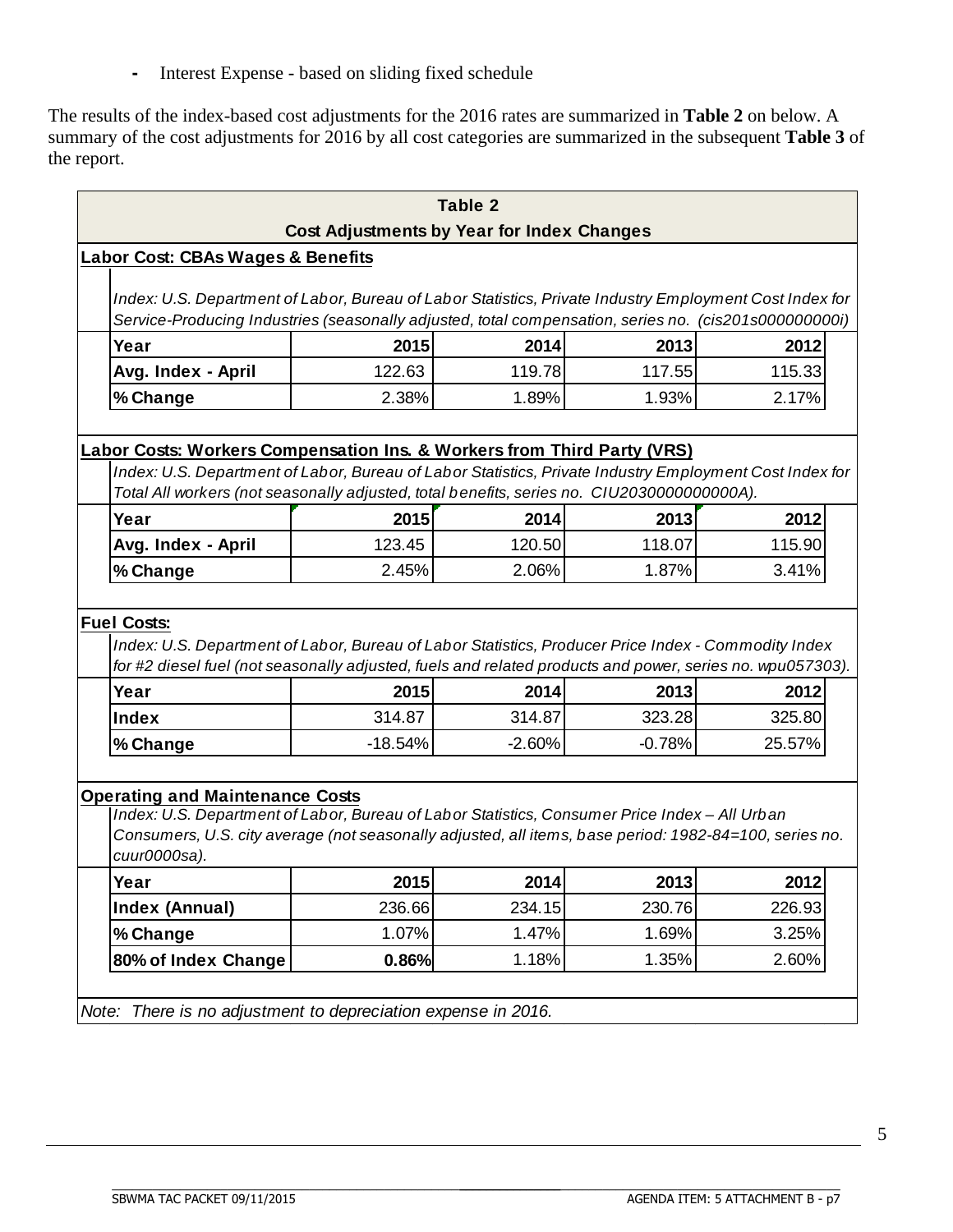**-** Interest Expense - based on sliding fixed schedule

The results of the index-based cost adjustments for the 2016 rates are summarized in **Table 2** on below. A summary of the cost adjustments for 2016 by all cost categories are summarized in the subsequent **Table 3** of the report.

|                                                                                                                                                                                                       | <b>Table 2</b>                                                                                                                                                                                                  |          |          |        |  |  |  |  |  |
|-------------------------------------------------------------------------------------------------------------------------------------------------------------------------------------------------------|-----------------------------------------------------------------------------------------------------------------------------------------------------------------------------------------------------------------|----------|----------|--------|--|--|--|--|--|
|                                                                                                                                                                                                       | <b>Cost Adjustments by Year for Index Changes</b>                                                                                                                                                               |          |          |        |  |  |  |  |  |
| <b>Labor Cost: CBAs Wages &amp; Benefits</b>                                                                                                                                                          |                                                                                                                                                                                                                 |          |          |        |  |  |  |  |  |
|                                                                                                                                                                                                       |                                                                                                                                                                                                                 |          |          |        |  |  |  |  |  |
|                                                                                                                                                                                                       | Index: U.S. Department of Labor, Bureau of Labor Statistics, Private Industry Employment Cost Index for<br>Service-Producing Industries (seasonally adjusted, total compensation, series no. (cis201s00000000i) |          |          |        |  |  |  |  |  |
| Year                                                                                                                                                                                                  | 2015                                                                                                                                                                                                            | 2014     | 2013     | 2012   |  |  |  |  |  |
|                                                                                                                                                                                                       | 122.63                                                                                                                                                                                                          | 119.78   | 117.55   | 115.33 |  |  |  |  |  |
| Avg. Index - April                                                                                                                                                                                    |                                                                                                                                                                                                                 | 1.89%    |          |        |  |  |  |  |  |
| % Change                                                                                                                                                                                              | 2.38%                                                                                                                                                                                                           |          | 1.93%    | 2.17%  |  |  |  |  |  |
|                                                                                                                                                                                                       |                                                                                                                                                                                                                 |          |          |        |  |  |  |  |  |
| Labor Costs: Workers Compensation Ins. & Workers from Third Party (VRS)                                                                                                                               |                                                                                                                                                                                                                 |          |          |        |  |  |  |  |  |
| Index: U.S. Department of Labor, Bureau of Labor Statistics, Private Industry Employment Cost Index for<br>Total All workers (not seasonally adjusted, total benefits, series no. CIU2030000000000A). |                                                                                                                                                                                                                 |          |          |        |  |  |  |  |  |
| Year                                                                                                                                                                                                  | 2015                                                                                                                                                                                                            | 2014     | 2013     | 2012   |  |  |  |  |  |
| Avg. Index - April                                                                                                                                                                                    | 123.45                                                                                                                                                                                                          | 120.50   | 118.07   | 115.90 |  |  |  |  |  |
|                                                                                                                                                                                                       | 2.45%                                                                                                                                                                                                           | 2.06%    | 1.87%    | 3.41%  |  |  |  |  |  |
| % Change                                                                                                                                                                                              |                                                                                                                                                                                                                 |          |          |        |  |  |  |  |  |
|                                                                                                                                                                                                       |                                                                                                                                                                                                                 |          |          |        |  |  |  |  |  |
| <b>Fuel Costs:</b><br>Index: U.S. Department of Labor, Bureau of Labor Statistics, Producer Price Index - Commodity Index                                                                             |                                                                                                                                                                                                                 |          |          |        |  |  |  |  |  |
| for #2 diesel fuel (not seasonally adjusted, fuels and related products and power, series no. wpu057303).                                                                                             |                                                                                                                                                                                                                 |          |          |        |  |  |  |  |  |
| Year                                                                                                                                                                                                  | 2015                                                                                                                                                                                                            | 2014     | 2013     | 2012   |  |  |  |  |  |
| <b>Index</b>                                                                                                                                                                                          | 314.87                                                                                                                                                                                                          | 314.87   | 323.28   | 325.80 |  |  |  |  |  |
| % Change                                                                                                                                                                                              | $-18.54%$                                                                                                                                                                                                       | $-2.60%$ | $-0.78%$ | 25.57% |  |  |  |  |  |
|                                                                                                                                                                                                       |                                                                                                                                                                                                                 |          |          |        |  |  |  |  |  |
| <b>Operating and Maintenance Costs</b>                                                                                                                                                                |                                                                                                                                                                                                                 |          |          |        |  |  |  |  |  |
| Index: U.S. Department of Labor, Bureau of Labor Statistics, Consumer Price Index - All Urban                                                                                                         |                                                                                                                                                                                                                 |          |          |        |  |  |  |  |  |
|                                                                                                                                                                                                       | Consumers, U.S. city average (not seasonally adjusted, all items, base period: 1982-84=100, series no.                                                                                                          |          |          |        |  |  |  |  |  |
| cuur0000sa).                                                                                                                                                                                          |                                                                                                                                                                                                                 |          |          |        |  |  |  |  |  |
| Year                                                                                                                                                                                                  | 2015                                                                                                                                                                                                            | 2014     | 2013     | 2012   |  |  |  |  |  |
| <b>Index (Annual)</b>                                                                                                                                                                                 | 236.66                                                                                                                                                                                                          | 234.15   | 230.76   | 226.93 |  |  |  |  |  |
| % Change                                                                                                                                                                                              | 1.07%                                                                                                                                                                                                           | 1.47%    | 1.69%    | 3.25%  |  |  |  |  |  |
| 80% of Index Change                                                                                                                                                                                   | 0.86%                                                                                                                                                                                                           | 1.18%    | 1.35%    | 2.60%  |  |  |  |  |  |
|                                                                                                                                                                                                       |                                                                                                                                                                                                                 |          |          |        |  |  |  |  |  |
| Note: There is no adjustment to depreciation expense in 2016.                                                                                                                                         |                                                                                                                                                                                                                 |          |          |        |  |  |  |  |  |
|                                                                                                                                                                                                       |                                                                                                                                                                                                                 |          |          |        |  |  |  |  |  |

 $\_$  , and the set of the set of the set of the set of the set of the set of the set of the set of the set of the set of the set of the set of the set of the set of the set of the set of the set of the set of the set of th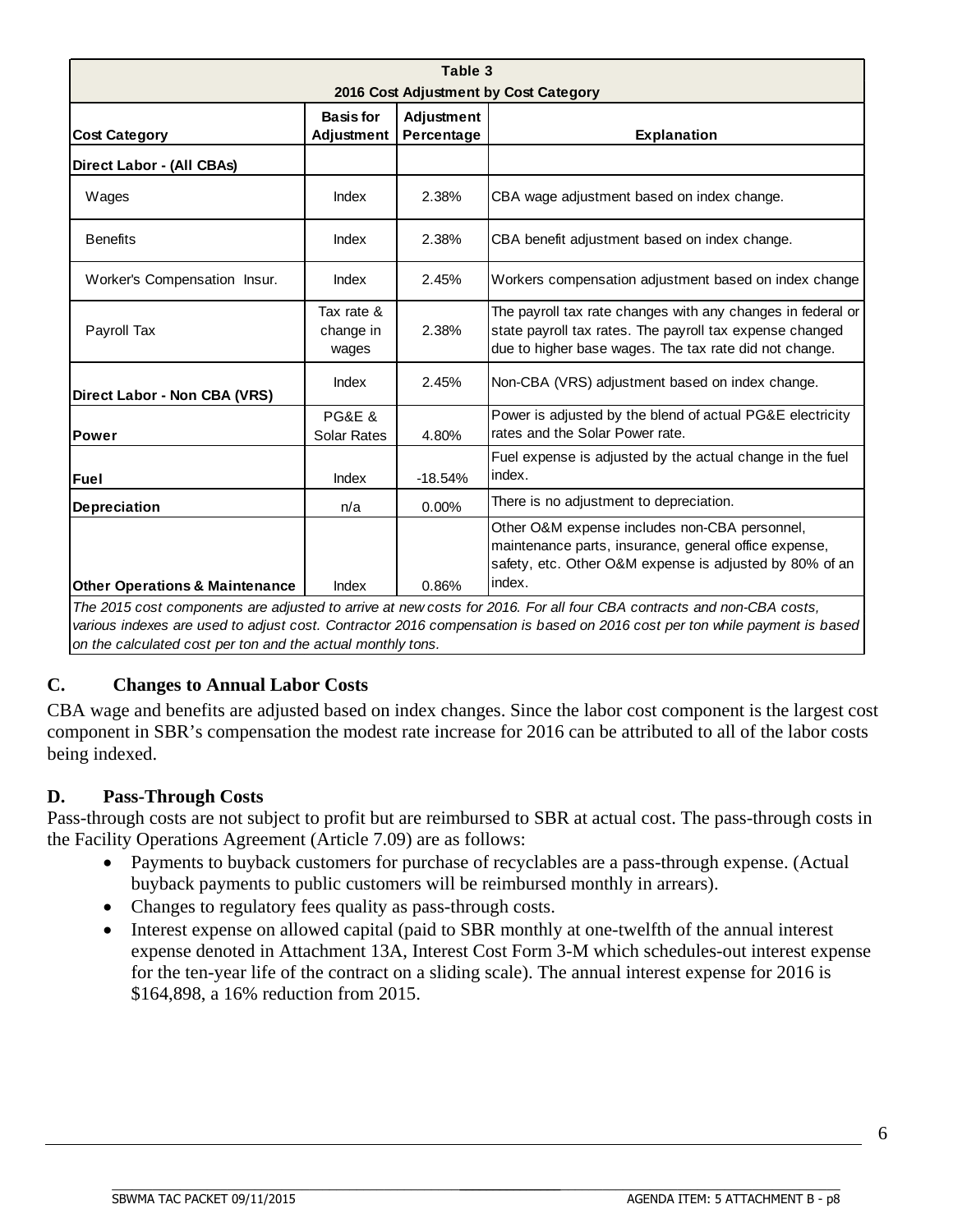| Table 3                                   |                                       |                          |                                                                                                                                                                                   |  |  |  |  |
|-------------------------------------------|---------------------------------------|--------------------------|-----------------------------------------------------------------------------------------------------------------------------------------------------------------------------------|--|--|--|--|
|                                           |                                       |                          | 2016 Cost Adjustment by Cost Category                                                                                                                                             |  |  |  |  |
| <b>Cost Category</b>                      | <b>Basis for</b><br><b>Adjustment</b> | Adjustment<br>Percentage | <b>Explanation</b>                                                                                                                                                                |  |  |  |  |
| Direct Labor - (All CBAs)                 |                                       |                          |                                                                                                                                                                                   |  |  |  |  |
| Wages                                     | Index                                 | 2.38%                    | CBA wage adjustment based on index change.                                                                                                                                        |  |  |  |  |
| <b>Benefits</b>                           | Index                                 | 2.38%                    | CBA benefit adjustment based on index change.                                                                                                                                     |  |  |  |  |
| Worker's Compensation Insur.              | Index                                 | 2.45%                    | Workers compensation adjustment based on index change                                                                                                                             |  |  |  |  |
| Payroll Tax                               | Tax rate &<br>change in<br>wages      | 2.38%                    | The payroll tax rate changes with any changes in federal or<br>state payroll tax rates. The payroll tax expense changed<br>due to higher base wages. The tax rate did not change. |  |  |  |  |
| Direct Labor - Non CBA (VRS)              | Index                                 | 2.45%                    | Non-CBA (VRS) adjustment based on index change.                                                                                                                                   |  |  |  |  |
| Power                                     | <b>PG&amp;E &amp;</b><br>Solar Rates  | 4.80%                    | Power is adjusted by the blend of actual PG&E electricity<br>rates and the Solar Power rate.                                                                                      |  |  |  |  |
| Fuel                                      | Index                                 | $-18.54%$                | Fuel expense is adjusted by the actual change in the fuel<br>index.                                                                                                               |  |  |  |  |
| <b>Depreciation</b>                       | n/a                                   | 0.00%                    | There is no adjustment to depreciation.                                                                                                                                           |  |  |  |  |
|                                           |                                       |                          | Other O&M expense includes non-CBA personnel,<br>maintenance parts, insurance, general office expense,<br>safety, etc. Other O&M expense is adjusted by 80% of an                 |  |  |  |  |
| <b>Other Operations &amp; Maintenance</b> | Index                                 | 0.86%                    | index.                                                                                                                                                                            |  |  |  |  |

*The 2015 cost components are adjusted to arrive at new costs for 2016. For all four CBA contracts and non-CBA costs,*  various indexes are used to adjust cost. Contractor 2016 compensation is based on 2016 cost per ton while payment is based *on the calculated cost per ton and the actual monthly tons.* 

#### **C. Changes to Annual Labor Costs**

CBA wage and benefits are adjusted based on index changes. Since the labor cost component is the largest cost component in SBR's compensation the modest rate increase for 2016 can be attributed to all of the labor costs being indexed.

#### **D. Pass-Through Costs**

Pass-through costs are not subject to profit but are reimbursed to SBR at actual cost. The pass-through costs in the Facility Operations Agreement (Article 7.09) are as follows:

- Payments to buyback customers for purchase of recyclables are a pass-through expense. (Actual buyback payments to public customers will be reimbursed monthly in arrears).
- Changes to regulatory fees quality as pass-through costs.

 $\_$  , and the set of the set of the set of the set of the set of the set of the set of the set of the set of the set of the set of the set of the set of the set of the set of the set of the set of the set of the set of th

• Interest expense on allowed capital (paid to SBR monthly at one-twelfth of the annual interest expense denoted in Attachment 13A, Interest Cost Form 3-M which schedules-out interest expense for the ten-year life of the contract on a sliding scale). The annual interest expense for 2016 is \$164,898, a 16% reduction from 2015.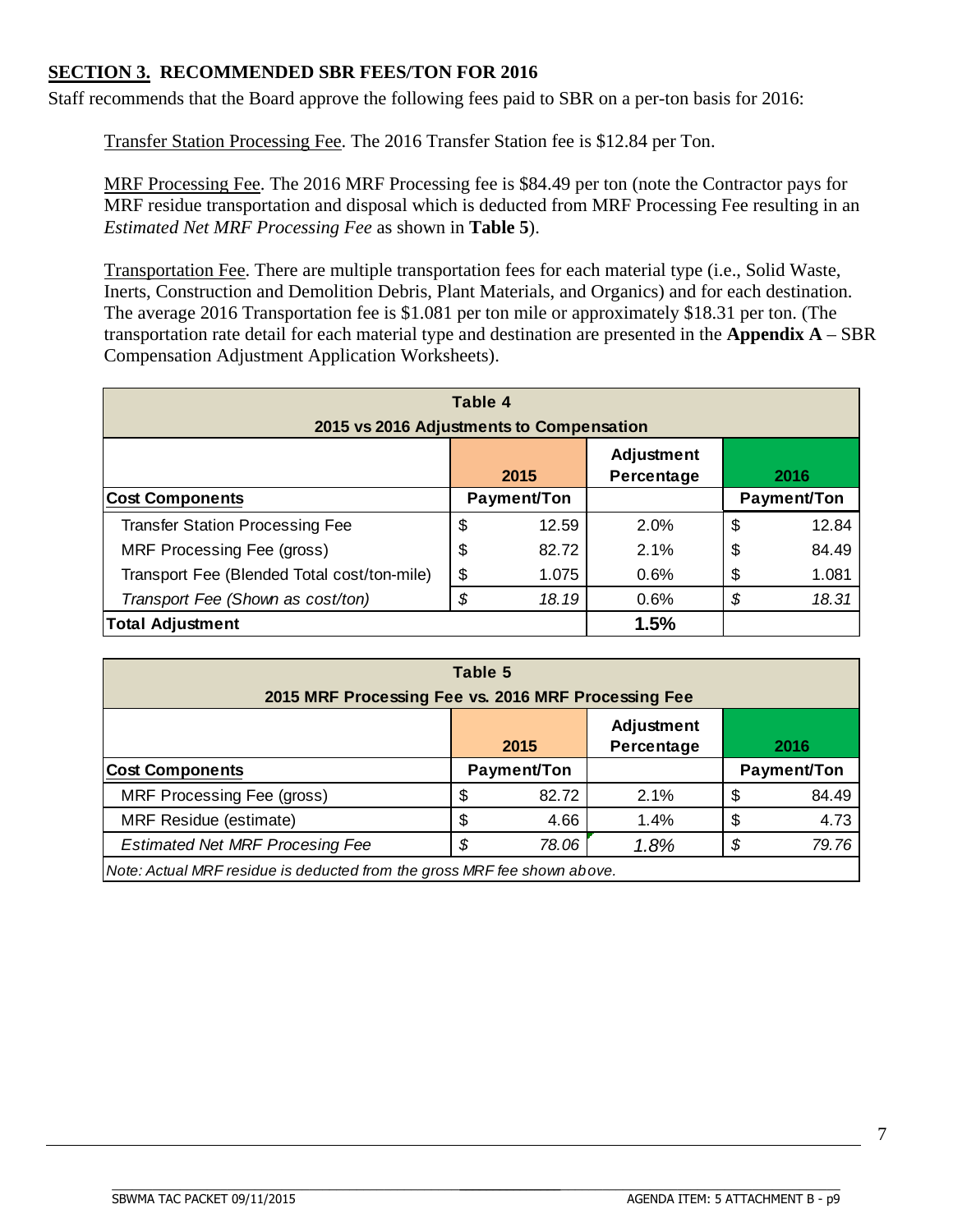#### **SECTION 3. RECOMMENDED SBR FEES/TON FOR 2016**

Staff recommends that the Board approve the following fees paid to SBR on a per-ton basis for 2016:

Transfer Station Processing Fee. The 2016 Transfer Station fee is \$12.84 per Ton.

MRF Processing Fee. The 2016 MRF Processing fee is \$84.49 per ton (note the Contractor pays for MRF residue transportation and disposal which is deducted from MRF Processing Fee resulting in an *Estimated Net MRF Processing Fee* as shown in **Table 5**).

Transportation Fee. There are multiple transportation fees for each material type (i.e., Solid Waste, Inerts, Construction and Demolition Debris, Plant Materials, and Organics) and for each destination. The average 2016 Transportation fee is \$1.081 per ton mile or approximately \$18.31 per ton. (The transportation rate detail for each material type and destination are presented in the **Appendix A** – SBR Compensation Adjustment Application Worksheets).

| Table 4                                     |      |             |            |      |             |  |  |  |
|---------------------------------------------|------|-------------|------------|------|-------------|--|--|--|
| 2015 vs 2016 Adjustments to Compensation    |      |             |            |      |             |  |  |  |
|                                             |      |             | Adjustment |      |             |  |  |  |
|                                             |      | 2015        | Percentage | 2016 |             |  |  |  |
| <b>Cost Components</b>                      |      | Payment/Ton |            |      | Payment/Ton |  |  |  |
| <b>Transfer Station Processing Fee</b>      | \$   | 12.59       | 2.0%       | \$   | 12.84       |  |  |  |
| MRF Processing Fee (gross)                  | \$   | 82.72       | 2.1%       | \$   | 84.49       |  |  |  |
| Transport Fee (Blended Total cost/ton-mile) | \$   | 1.075       | 0.6%       | S    | 1.081       |  |  |  |
| Transport Fee (Shown as cost/ton)           | \$   | 18.19       | 0.6%       | \$   | 18.31       |  |  |  |
| <b>Total Adjustment</b>                     | 1.5% |             |            |      |             |  |  |  |

| Table 5<br>2015 MRF Processing Fee vs. 2016 MRF Processing Fee           |    |             |                                 |    |                    |  |  |  |
|--------------------------------------------------------------------------|----|-------------|---------------------------------|----|--------------------|--|--|--|
|                                                                          |    | 2015        | <b>Adjustment</b><br>Percentage |    | 2016               |  |  |  |
| <b>Cost Components</b>                                                   |    | Payment/Ton |                                 |    | <b>Payment/Ton</b> |  |  |  |
| MRF Processing Fee (gross)                                               | S. | 82.72       | 2.1%                            | \$ | 84.49              |  |  |  |
| <b>MRF Residue (estimate)</b>                                            | S. | 4.66        | 1.4%                            | \$ | 4.73               |  |  |  |
| <b>Estimated Net MRF Procesing Fee</b>                                   |    | 78.06       | 1.8%                            | \$ | 79.76              |  |  |  |
| Note: Actual MRF residue is deducted from the gross MRF fee shown above. |    |             |                                 |    |                    |  |  |  |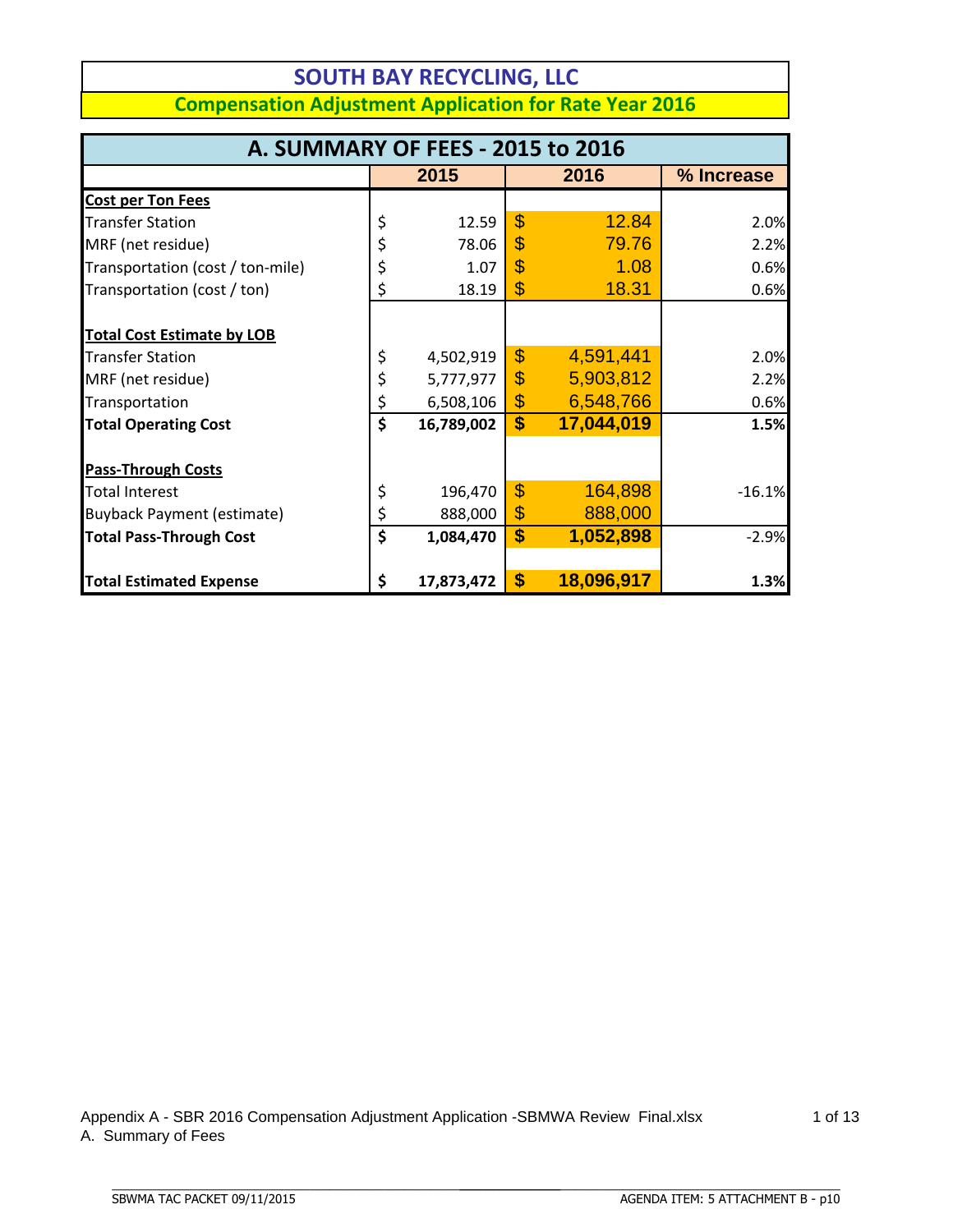| A. SUMMARY OF FEES - 2015 to 2016 |    |            |                   |            |            |  |  |  |
|-----------------------------------|----|------------|-------------------|------------|------------|--|--|--|
|                                   |    | 2015       |                   | 2016       | % Increase |  |  |  |
| <b>Cost per Ton Fees</b>          |    |            |                   |            |            |  |  |  |
| <b>Transfer Station</b>           | \$ | 12.59      | $\mathbf{\$}$     | 12.84      | 2.0%       |  |  |  |
| MRF (net residue)                 | \$ | 78.06      | \$                | 79.76      | 2.2%       |  |  |  |
| Transportation (cost / ton-mile)  | \$ | 1.07       | \$                | 1.08       | 0.6%       |  |  |  |
| Transportation (cost / ton)       | \$ | 18.19      | \$                | 18.31      | 0.6%       |  |  |  |
| <b>Total Cost Estimate by LOB</b> |    |            |                   |            |            |  |  |  |
| <b>Transfer Station</b>           | \$ | 4,502,919  | $\boldsymbol{\$}$ | 4,591,441  | 2.0%       |  |  |  |
| MRF (net residue)                 | \$ | 5,777,977  | \$                | 5,903,812  | 2.2%       |  |  |  |
| Transportation                    | \$ | 6,508,106  | \$                | 6,548,766  | 0.6%       |  |  |  |
| <b>Total Operating Cost</b>       | \$ | 16,789,002 | \$                | 17,044,019 | 1.5%       |  |  |  |
| <b>Pass-Through Costs</b>         |    |            |                   |            |            |  |  |  |
| <b>Total Interest</b>             | \$ | 196,470    | \$                | 164,898    | $-16.1%$   |  |  |  |
| <b>Buyback Payment (estimate)</b> | \$ | 888,000    | \$                | 888,000    |            |  |  |  |
| <b>Total Pass-Through Cost</b>    | \$ | 1,084,470  | \$                | 1,052,898  | $-2.9%$    |  |  |  |
| <b>Total Estimated Expense</b>    | \$ | 17,873,472 | \$                | 18,096,917 | 1.3%       |  |  |  |

# **Compensation Adjustment Application for Rate Year 2016**

Appendix A - SBR 2016 Compensation Adjustment Application -SBMWA Review Final.xlsx A. Summary of Fees

 $\_$  , and the set of the set of the set of the set of the set of the set of the set of the set of the set of the set of the set of the set of the set of the set of the set of the set of the set of the set of the set of th

1 of 13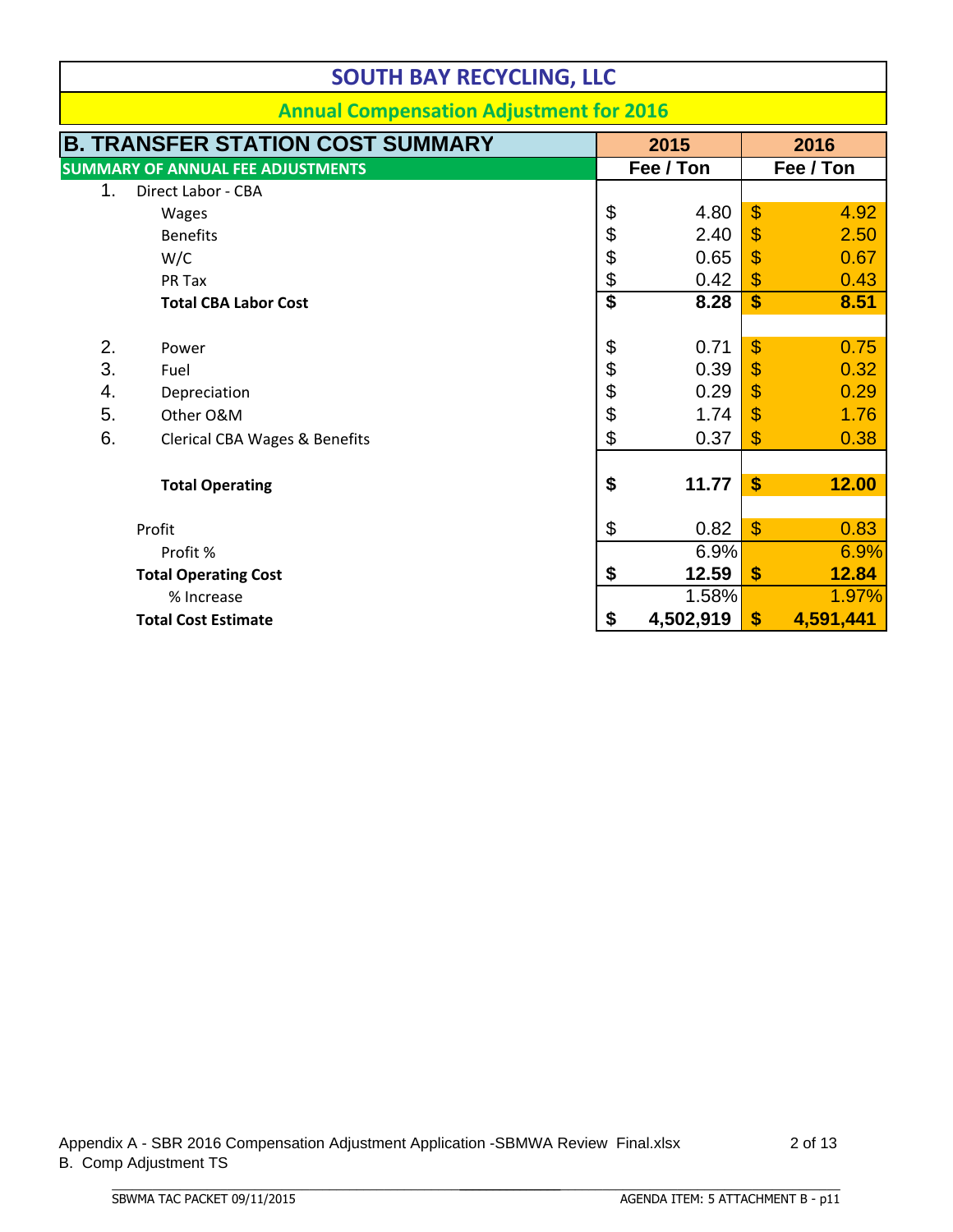|          | <b>SOUTH BAY RECYCLING, LLC</b>                |               |           |                           |           |  |  |  |
|----------|------------------------------------------------|---------------|-----------|---------------------------|-----------|--|--|--|
|          | <b>Annual Compensation Adjustment for 2016</b> |               |           |                           |           |  |  |  |
|          | <b>B. TRANSFER STATION COST SUMMARY</b>        |               | 2015      | 2016                      |           |  |  |  |
|          | <b>SUMMARY OF ANNUAL FEE ADJUSTMENTS</b>       |               | Fee / Ton | Fee / Ton                 |           |  |  |  |
| 1.       | Direct Labor - CBA                             |               |           |                           |           |  |  |  |
|          | Wages                                          | \$            | 4.80      | $\boldsymbol{\mathsf{S}}$ | 4.92      |  |  |  |
|          | <b>Benefits</b>                                | \$            | 2.40      | \$                        | 2.50      |  |  |  |
|          | W/C                                            | \$            | 0.65      | \$                        | 0.67      |  |  |  |
|          | PR Tax                                         | $\frac{6}{5}$ | 0.42      | \$                        | 0.43      |  |  |  |
|          | <b>Total CBA Labor Cost</b>                    |               | 8.28      | \$                        | 8.51      |  |  |  |
|          |                                                |               |           |                           |           |  |  |  |
| 2.       | Power                                          | \$            | 0.71      | \$                        | 0.75      |  |  |  |
| 3.       | Fuel                                           | \$            | 0.39      | \$                        | 0.32      |  |  |  |
| 4.       | Depreciation                                   | \$            | 0.29      | \$                        | 0.29      |  |  |  |
| 5.       | Other O&M                                      |               | 1.74      | $\mathbf{\$}$             | 1.76      |  |  |  |
| 6.       | <b>Clerical CBA Wages &amp; Benefits</b>       | \$            | 0.37      | \$                        | 0.38      |  |  |  |
|          |                                                |               |           |                           |           |  |  |  |
|          | <b>Total Operating</b>                         | \$            | 11.77     | $\boldsymbol{\$}$         | 12.00     |  |  |  |
|          |                                                |               |           |                           |           |  |  |  |
|          | Profit                                         | \$            | 0.82      | $\boldsymbol{\$}$         | 0.83      |  |  |  |
| Profit % |                                                |               | 6.9%      |                           | 6.9%      |  |  |  |
|          | <b>Total Operating Cost</b>                    | \$            | 12.59     | \$                        | 12.84     |  |  |  |
|          | % Increase                                     |               | 1.58%     |                           | 1.97%     |  |  |  |
|          | <b>Total Cost Estimate</b>                     | \$            | 4,502,919 | \$                        | 4,591,441 |  |  |  |

 $\_$  , and the set of the set of the set of the set of the set of the set of the set of the set of the set of the set of the set of the set of the set of the set of the set of the set of the set of the set of the set of th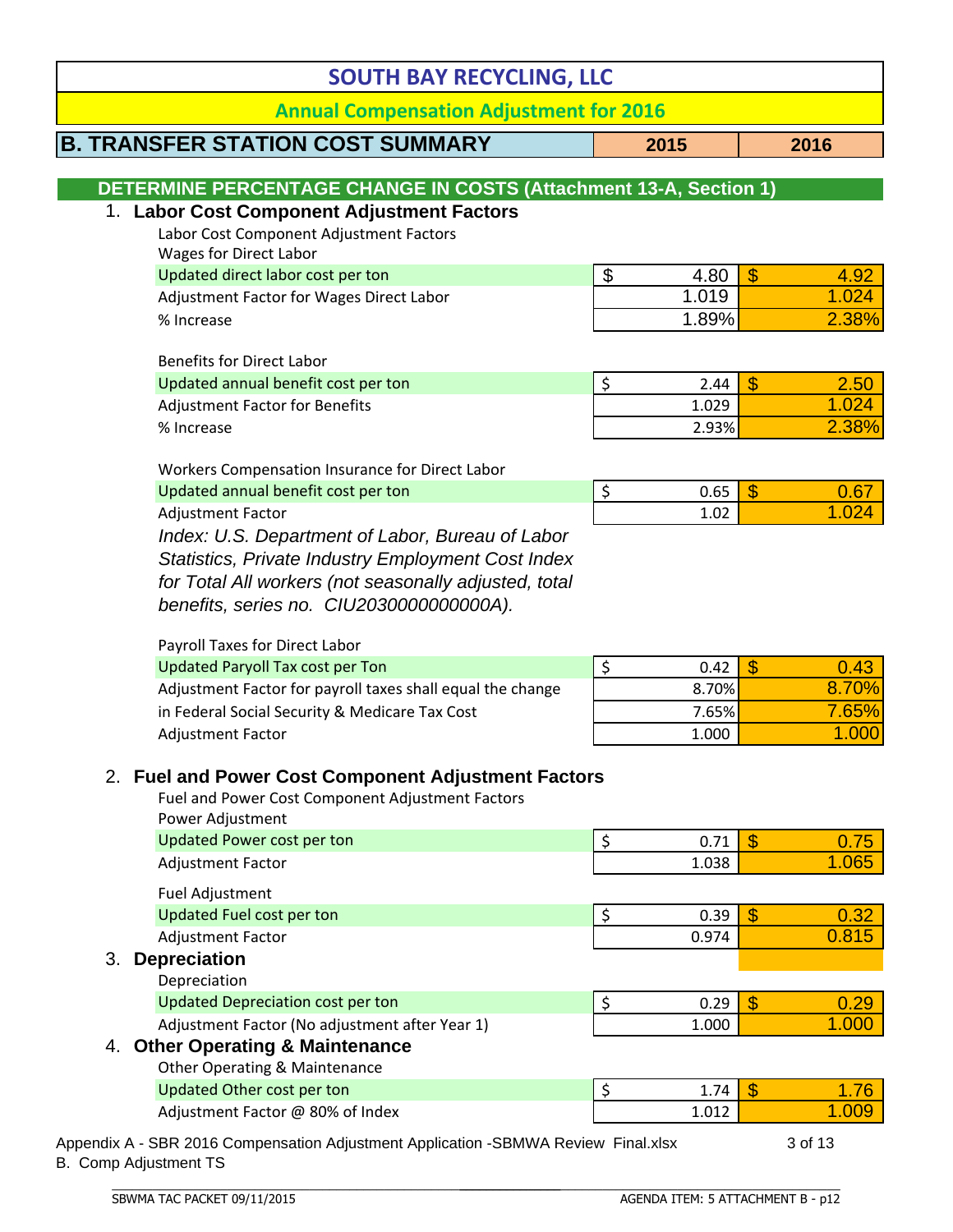|                                                                                                                    | <b>SOUTH BAY RECYCLING, LLC</b> |       |                           |         |  |  |  |
|--------------------------------------------------------------------------------------------------------------------|---------------------------------|-------|---------------------------|---------|--|--|--|
| <b>Annual Compensation Adjustment for 2016</b>                                                                     |                                 |       |                           |         |  |  |  |
| <b>B. TRANSFER STATION COST SUMMARY</b>                                                                            |                                 | 2015  |                           | 2016    |  |  |  |
| DETERMINE PERCENTAGE CHANGE IN COSTS (Attachment 13-A, Section 1)                                                  |                                 |       |                           |         |  |  |  |
| 1. Labor Cost Component Adjustment Factors                                                                         |                                 |       |                           |         |  |  |  |
| Labor Cost Component Adjustment Factors                                                                            |                                 |       |                           |         |  |  |  |
| <b>Wages for Direct Labor</b>                                                                                      |                                 |       |                           |         |  |  |  |
| Updated direct labor cost per ton                                                                                  | \$                              | 4.80  | $\boldsymbol{\mathsf{S}}$ | 4.92    |  |  |  |
| Adjustment Factor for Wages Direct Labor                                                                           |                                 | 1.019 |                           | 1.024   |  |  |  |
| % Increase                                                                                                         |                                 | 1.89% |                           | 2.38%   |  |  |  |
| <b>Benefits for Direct Labor</b>                                                                                   |                                 |       |                           |         |  |  |  |
| Updated annual benefit cost per ton                                                                                | \$                              | 2.44  | $\mathbf{\$}$             | 2.50    |  |  |  |
| <b>Adjustment Factor for Benefits</b>                                                                              |                                 | 1.029 |                           | 1.024   |  |  |  |
| % Increase                                                                                                         |                                 | 2.93% |                           | 2.38%   |  |  |  |
| Workers Compensation Insurance for Direct Labor                                                                    |                                 |       |                           |         |  |  |  |
| Updated annual benefit cost per ton                                                                                | \$                              | 0.65  | $\mathbf{\$}$             | 0.67    |  |  |  |
| <b>Adjustment Factor</b>                                                                                           |                                 | 1.02  |                           | 1.024   |  |  |  |
| Index: U.S. Department of Labor, Bureau of Labor                                                                   |                                 |       |                           |         |  |  |  |
| Statistics, Private Industry Employment Cost Index                                                                 |                                 |       |                           |         |  |  |  |
| for Total All workers (not seasonally adjusted, total                                                              |                                 |       |                           |         |  |  |  |
| benefits, series no. CIU2030000000000A).                                                                           |                                 |       |                           |         |  |  |  |
| Payroll Taxes for Direct Labor                                                                                     |                                 |       |                           |         |  |  |  |
| <b>Updated Paryoll Tax cost per Ton</b>                                                                            | \$                              | 0.42  | $\mathbf{\$}$             | 0.43    |  |  |  |
| Adjustment Factor for payroll taxes shall equal the change                                                         |                                 | 8.70% |                           | 8.70%   |  |  |  |
| in Federal Social Security & Medicare Tax Cost                                                                     |                                 | 7.65% |                           | 7.65%   |  |  |  |
| Adjustment Factor                                                                                                  |                                 | 1.000 |                           | 1.000   |  |  |  |
| 2. Fuel and Power Cost Component Adjustment Factors                                                                |                                 |       |                           |         |  |  |  |
| Fuel and Power Cost Component Adjustment Factors                                                                   |                                 |       |                           |         |  |  |  |
| Power Adjustment                                                                                                   |                                 |       |                           |         |  |  |  |
| <b>Updated Power cost per ton</b>                                                                                  | \$                              | 0.71  | $\mathbf{\$}$             | 0.75    |  |  |  |
| <b>Adjustment Factor</b>                                                                                           |                                 | 1.038 |                           | 1.065   |  |  |  |
| <b>Fuel Adjustment</b>                                                                                             |                                 |       |                           |         |  |  |  |
| Updated Fuel cost per ton                                                                                          | \$                              | 0.39  | $\mathbf{\hat{s}}$        | 0.32    |  |  |  |
| <b>Adjustment Factor</b>                                                                                           |                                 | 0.974 |                           | 0.815   |  |  |  |
| <b>Depreciation</b><br>3.                                                                                          |                                 |       |                           |         |  |  |  |
| Depreciation                                                                                                       |                                 |       |                           |         |  |  |  |
| <b>Updated Depreciation cost per ton</b>                                                                           | \$                              | 0.29  | $\boldsymbol{\mathsf{S}}$ | 0.29    |  |  |  |
| Adjustment Factor (No adjustment after Year 1)                                                                     |                                 | 1.000 |                           | 1.000   |  |  |  |
| 4. Other Operating & Maintenance                                                                                   |                                 |       |                           |         |  |  |  |
| <b>Other Operating &amp; Maintenance</b>                                                                           |                                 |       |                           |         |  |  |  |
| Updated Other cost per ton                                                                                         | \$                              | 1.74  | $\boldsymbol{\mathsf{S}}$ | 1.76    |  |  |  |
| Adjustment Factor @ 80% of Index                                                                                   |                                 | 1.012 |                           | 1.009   |  |  |  |
| Appendix A - SBR 2016 Compensation Adjustment Application -SBMWA Review Final.xlsx<br><b>B.</b> Comp Adjustment TS |                                 |       |                           | 3 of 13 |  |  |  |

 $\_$  , and the set of the set of the set of the set of the set of the set of the set of the set of the set of the set of the set of the set of the set of the set of the set of the set of the set of the set of the set of th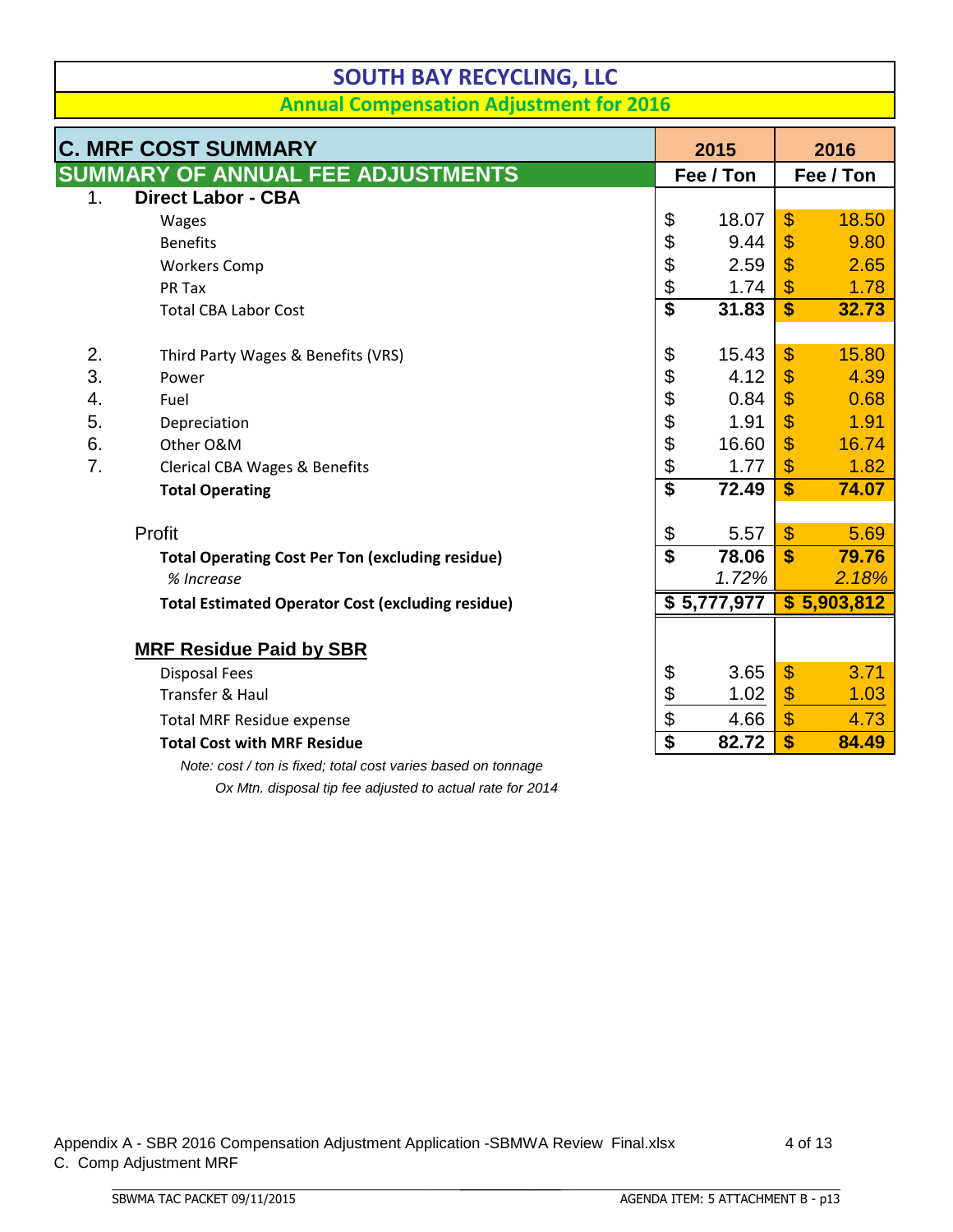**Annual Compensation Adjustment for 2016**

|    | <b>C. MRF COST SUMMARY</b>                                    |                         | 2015        |                           | 2016        |
|----|---------------------------------------------------------------|-------------------------|-------------|---------------------------|-------------|
|    | <b>SUMMARY OF ANNUAL FEE ADJUSTMENTS</b>                      |                         | Fee / Ton   |                           | Fee / Ton   |
| 1. | <b>Direct Labor - CBA</b>                                     |                         |             |                           |             |
|    | Wages                                                         | \$                      | 18.07       | $\boldsymbol{\mathsf{S}}$ | 18.50       |
|    | <b>Benefits</b>                                               | \$                      | 9.44        | $\boldsymbol{\$}$         | 9.80        |
|    | <b>Workers Comp</b>                                           | \$                      | 2.59        | $\mathbf{\$}$             | 2.65        |
|    | PR Tax                                                        | \$                      | 1.74        | $\boldsymbol{\mathsf{S}}$ | 1.78        |
|    | <b>Total CBA Labor Cost</b>                                   | $\overline{\$}$         | 31.83       | \$                        | 32.73       |
|    |                                                               |                         |             |                           |             |
| 2. | Third Party Wages & Benefits (VRS)                            | \$                      | 15.43       | $\boldsymbol{\$}$         | 15.80       |
| 3. | Power                                                         | \$                      | 4.12        | $\mathbf{\$}$             | 4.39        |
| 4. | Fuel                                                          | \$                      | 0.84        | $\boldsymbol{\$}$         | 0.68        |
| 5. | Depreciation                                                  | \$                      | 1.91        | \$                        | 1.91        |
| 6. | Other O&M                                                     | \$                      | 16.60       | $\mathbf{\$}$             | 16.74       |
| 7. | <b>Clerical CBA Wages &amp; Benefits</b>                      | \$                      | 1.77        | $\boldsymbol{\mathsf{S}}$ | 1.82        |
|    | <b>Total Operating</b>                                        | $\overline{\mathbf{s}}$ | 72.49       | $\overline{\mathbf{s}}$   | 74.07       |
|    |                                                               |                         |             |                           |             |
|    | Profit                                                        | \$                      | 5.57        | $\mathbf{\$}$             | 5.69        |
|    | <b>Total Operating Cost Per Ton (excluding residue)</b>       | $\overline{\mathbf{s}}$ | 78.06       | $\boldsymbol{\hat{s}}$    | 79.76       |
|    | % Increase                                                    |                         | 1.72%       |                           | 2.18%       |
|    | <b>Total Estimated Operator Cost (excluding residue)</b>      |                         | \$5,777,977 |                           | \$5,903,812 |
|    |                                                               |                         |             |                           |             |
|    | <b>MRF Residue Paid by SBR</b>                                |                         |             |                           |             |
|    | <b>Disposal Fees</b>                                          | \$                      | 3.65        | $\boldsymbol{\mathsf{S}}$ | 3.71        |
|    | Transfer & Haul                                               | \$                      | 1.02        | $\frac{1}{2}$             | 1.03        |
|    | <b>Total MRF Residue expense</b>                              | \$                      | 4.66        | $\mathfrak{S}$            | 4.73        |
|    | <b>Total Cost with MRF Residue</b>                            | $\overline{\$}$         | 82.72       | $\mathbf{\$}$             | 84.49       |
|    | Note: cost / ton is fixed; total cost varies based on tonnage |                         |             |                           |             |

 *Ox Mtn. disposal tip fee adjusted to actual rate for 2014* 

 $\_$  , and the set of the set of the set of the set of the set of the set of the set of the set of the set of the set of the set of the set of the set of the set of the set of the set of the set of the set of the set of th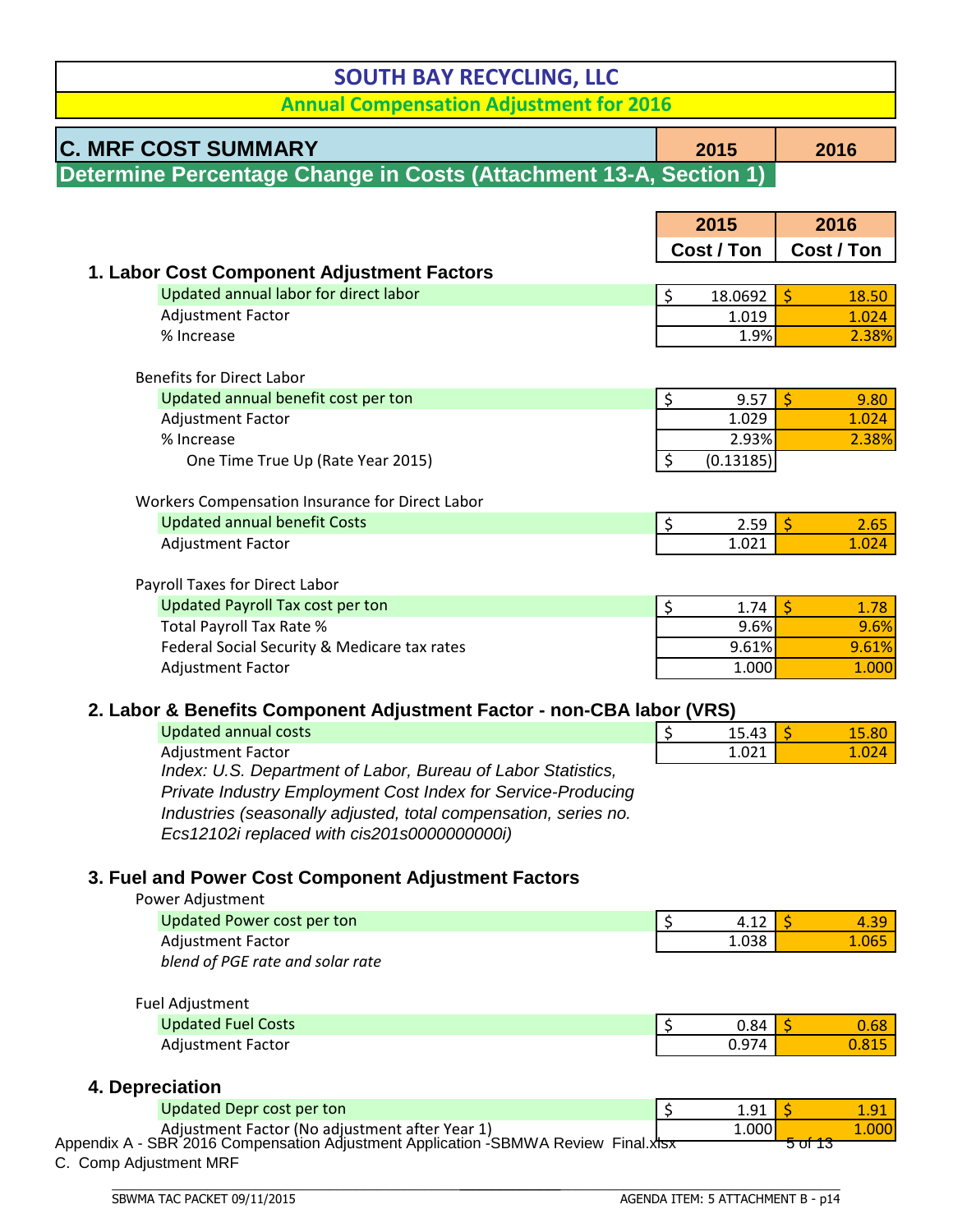**Annual Compensation Adjustment for 2016**

| <b>C. MRF COST SUMMARY</b>                                        | 2015 | 2016 |
|-------------------------------------------------------------------|------|------|
| Determine Percentage Change in Costs (Attachment 13-A, Section 1) |      |      |

|                                                                                                                                                                                                                                                 | 2015            | 2016               |       |
|-------------------------------------------------------------------------------------------------------------------------------------------------------------------------------------------------------------------------------------------------|-----------------|--------------------|-------|
|                                                                                                                                                                                                                                                 | Cost / Ton      | Cost / Ton         |       |
| 1. Labor Cost Component Adjustment Factors                                                                                                                                                                                                      |                 |                    |       |
| Updated annual labor for direct labor                                                                                                                                                                                                           | \$<br>18.0692   | $\dot{\mathsf{S}}$ | 18.50 |
| <b>Adjustment Factor</b>                                                                                                                                                                                                                        | 1.019           |                    | 1.024 |
| % Increase                                                                                                                                                                                                                                      | 1.9%            |                    | 2.38% |
| <b>Benefits for Direct Labor</b>                                                                                                                                                                                                                |                 |                    |       |
| Updated annual benefit cost per ton                                                                                                                                                                                                             | \$<br>9.57      | $\mathsf{S}$       | 9.80  |
| <b>Adjustment Factor</b>                                                                                                                                                                                                                        | 1.029           |                    | 1.024 |
| % Increase                                                                                                                                                                                                                                      | 2.93%           |                    | 2.38% |
| One Time True Up (Rate Year 2015)                                                                                                                                                                                                               | \$<br>(0.13185) |                    |       |
|                                                                                                                                                                                                                                                 |                 |                    |       |
| Workers Compensation Insurance for Direct Labor                                                                                                                                                                                                 |                 |                    |       |
| <b>Updated annual benefit Costs</b>                                                                                                                                                                                                             | \$<br>2.59      | $\mathsf{S}$       | 2.65  |
| <b>Adjustment Factor</b>                                                                                                                                                                                                                        | 1.021           |                    | 1.024 |
| Payroll Taxes for Direct Labor                                                                                                                                                                                                                  |                 |                    |       |
| <b>Updated Payroll Tax cost per ton</b>                                                                                                                                                                                                         | \$<br>1.74      | $\dot{\mathsf{S}}$ | 1.78  |
| Total Payroll Tax Rate %                                                                                                                                                                                                                        | 9.6%            |                    | 9.6%  |
| Federal Social Security & Medicare tax rates                                                                                                                                                                                                    | 9.61%           |                    | 9.61% |
| <b>Adjustment Factor</b>                                                                                                                                                                                                                        | 1.000           |                    | 1.000 |
| 2. Labor & Benefits Component Adjustment Factor - non-CBA labor (VRS)                                                                                                                                                                           |                 |                    |       |
| <b>Updated annual costs</b>                                                                                                                                                                                                                     | \$<br>15.43     | $\dot{\mathsf{S}}$ | 15.80 |
| <b>Adjustment Factor</b>                                                                                                                                                                                                                        | 1.021           |                    | 1.024 |
| Index: U.S. Department of Labor, Bureau of Labor Statistics,<br>Private Industry Employment Cost Index for Service-Producing<br>Industries (seasonally adjusted, total compensation, series no.<br>Ecs 12102i replaced with cis201s0000000000i) |                 |                    |       |

#### **3. Fuel and Power Cost Component Adjustment Factors**

 $\_$  , and the set of the set of the set of the set of the set of the set of the set of the set of the set of the set of the set of the set of the set of the set of the set of the set of the set of the set of the set of th

| Power Adjustment                                                                                                                     |       |        |       |
|--------------------------------------------------------------------------------------------------------------------------------------|-------|--------|-------|
| Updated Power cost per ton                                                                                                           | 4.12  |        | 4.39  |
| <b>Adjustment Factor</b>                                                                                                             | 1.038 |        | 1.065 |
| blend of PGE rate and solar rate                                                                                                     |       |        |       |
|                                                                                                                                      |       |        |       |
| Fuel Adjustment                                                                                                                      |       |        |       |
| <b>Updated Fuel Costs</b>                                                                                                            | 0.84  |        | 0.68  |
| <b>Adjustment Factor</b>                                                                                                             | 0.974 |        | 0.815 |
|                                                                                                                                      |       |        |       |
| 4. Depreciation                                                                                                                      |       |        |       |
| <b>Updated Depr cost per ton</b>                                                                                                     | 1.91  |        | 1.91  |
| Adjustment Factor (No adjustment after Year 1)<br>Appendix A - SBR 2016 Compensation Adjustment Application -SBMWA Review Final.xfsx | 1.000 |        | 1.000 |
|                                                                                                                                      |       | ५० पाउ |       |

C. Comp Adjustment MRF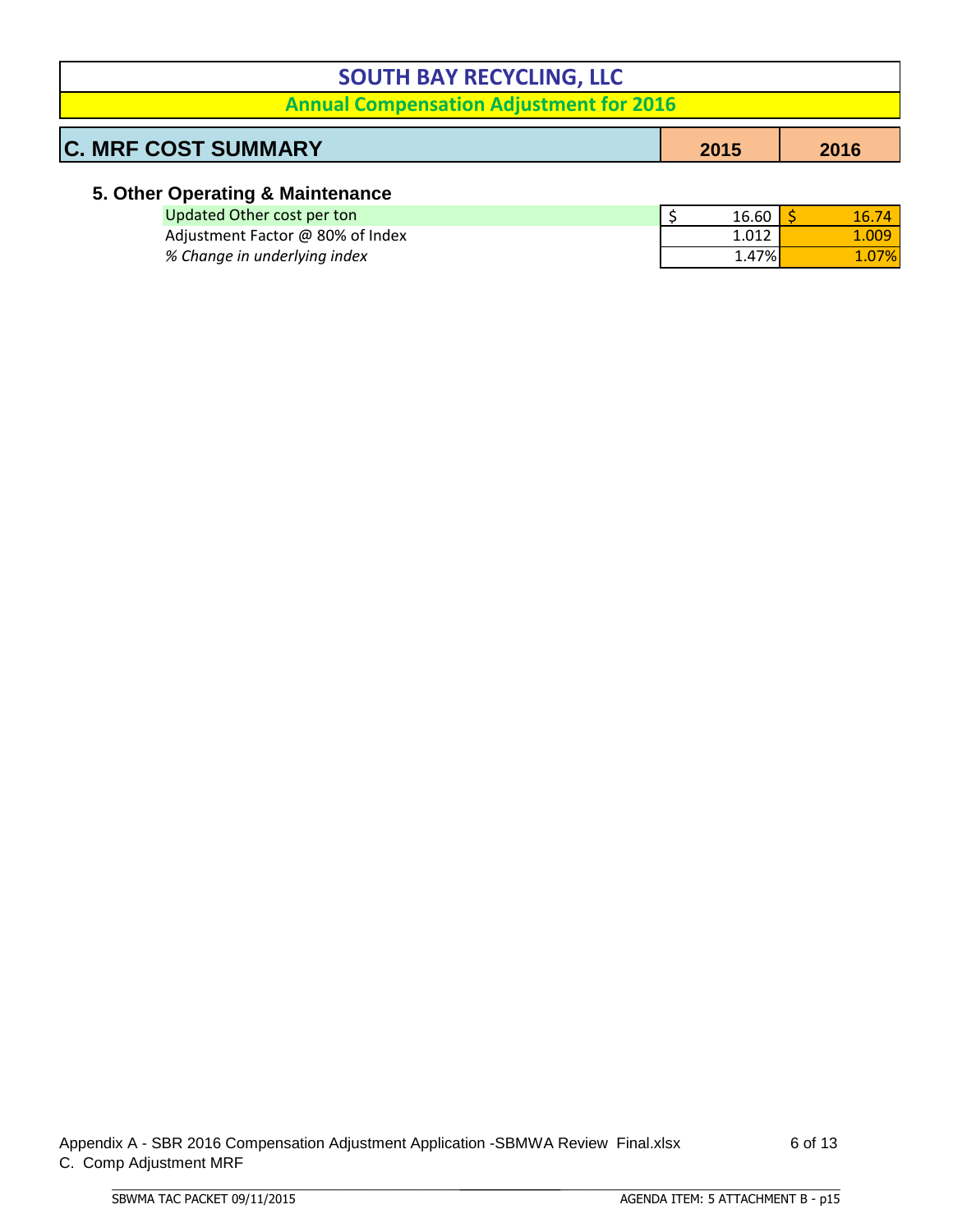| <b>SOUTH BAY RECYCLING, LLC</b>                |  |  |  |  |  |  |
|------------------------------------------------|--|--|--|--|--|--|
| <b>Annual Compensation Adjustment for 2016</b> |  |  |  |  |  |  |
| <b>C. MRF COST SUMMARY</b><br>2015<br>2016     |  |  |  |  |  |  |

#### **5. Other Operating & Maintenance**

| Updated Other cost per ton       | 16.60 | 16.74 |
|----------------------------------|-------|-------|
| Adjustment Factor @ 80% of Index | 1.012 | 1.009 |
| % Change in underlying index     | 1.47% | .07%  |

 $\_$  , and the set of the set of the set of the set of the set of the set of the set of the set of the set of the set of the set of the set of the set of the set of the set of the set of the set of the set of the set of th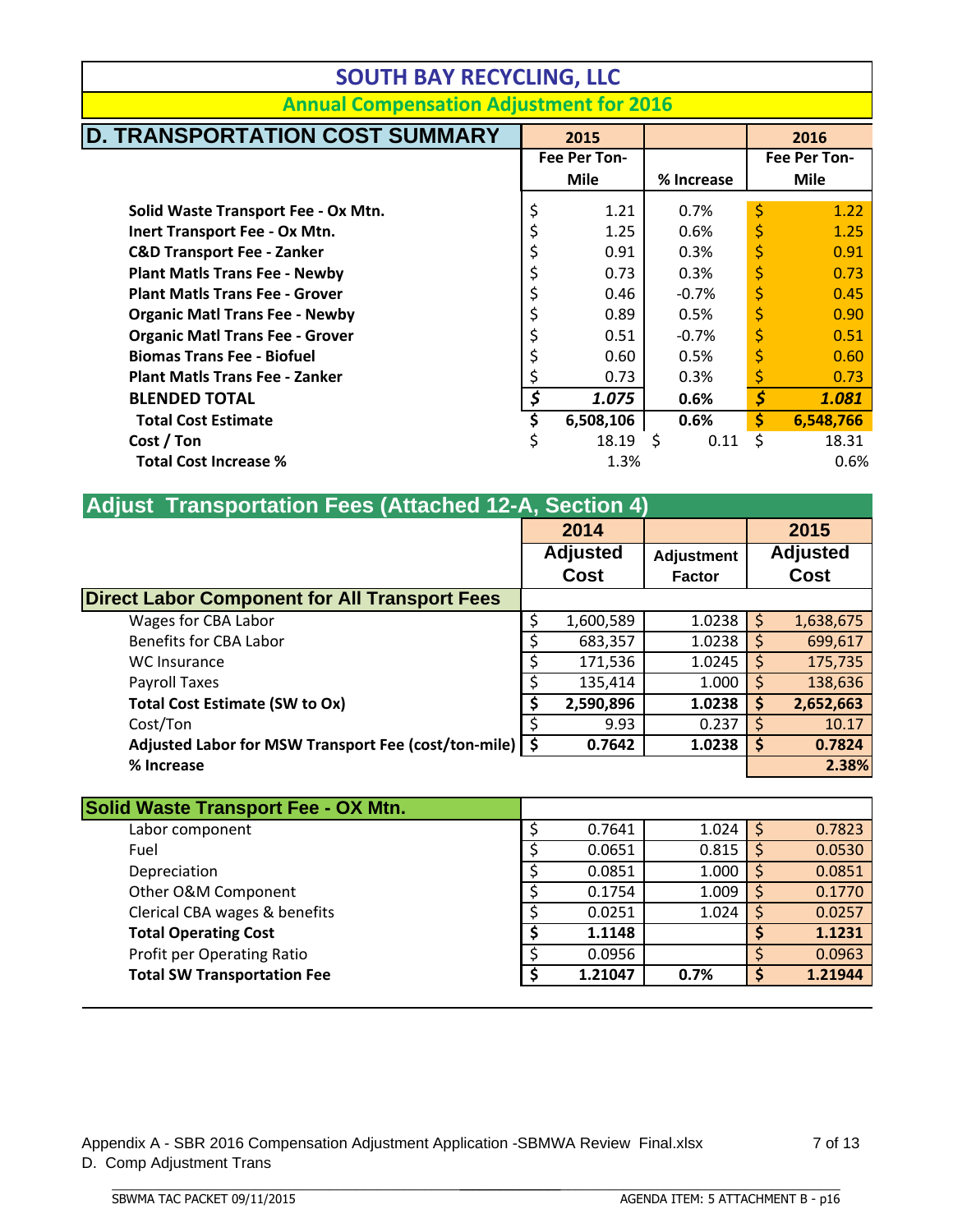| <b>SOUTH BAY RECYCLING, LLC</b>                |    |              |            |    |              |
|------------------------------------------------|----|--------------|------------|----|--------------|
| <b>Annual Compensation Adjustment for 2016</b> |    |              |            |    |              |
| <b>D. TRANSPORTATION COST SUMMARY</b>          |    | 2015         |            |    | 2016         |
|                                                |    | Fee Per Ton- |            |    | Fee Per Ton- |
|                                                |    | Mile         | % Increase |    | Mile         |
| Solid Waste Transport Fee - Ox Mtn.            |    | 1.21         | 0.7%       | \$ | 1.22         |
| Inert Transport Fee - Ox Mtn.                  | \$ | 1.25         | 0.6%       | \$ | 1.25         |
| <b>C&amp;D Transport Fee - Zanker</b>          | \$ | 0.91         | 0.3%       | \$ | 0.91         |
| <b>Plant Matls Trans Fee - Newby</b>           | \$ | 0.73         | 0.3%       | \$ | 0.73         |
| <b>Plant Matls Trans Fee - Grover</b>          | \$ | 0.46         | $-0.7%$    | \$ | 0.45         |
| <b>Organic Matl Trans Fee - Newby</b>          |    | 0.89         | 0.5%       | \$ | 0.90         |
| <b>Organic Matl Trans Fee - Grover</b>         | \$ | 0.51         | $-0.7%$    | \$ | 0.51         |
| <b>Biomas Trans Fee - Biofuel</b>              |    | 0.60         | 0.5%       | \$ | 0.60         |
| <b>Plant Matls Trans Fee - Zanker</b>          |    | 0.73         | 0.3%       | \$ | 0.73         |
| <b>BLENDED TOTAL</b>                           | \$ | 1.075        | 0.6%       | \$ | 1.081        |
| <b>Total Cost Estimate</b>                     |    | 6,508,106    | 0.6%       | \$ | 6,548,766    |
| Cost / Ton                                     | \$ | 18.19        | -S<br>0.11 | \$ | 18.31        |
| <b>Total Cost Increase %</b>                   |    | 1.3%         |            |    | 0.6%         |

| Adjust Transportation Fees (Attached 12-A, Section 4) |    |                 |                   |                        |                 |  |  |
|-------------------------------------------------------|----|-----------------|-------------------|------------------------|-----------------|--|--|
|                                                       |    | 2014            |                   |                        | 2015            |  |  |
|                                                       |    | <b>Adjusted</b> | <b>Adjustment</b> |                        | <b>Adjusted</b> |  |  |
|                                                       |    | <b>Cost</b>     | Factor            |                        | <b>Cost</b>     |  |  |
| <b>Direct Labor Component for All Transport Fees</b>  |    |                 |                   |                        |                 |  |  |
| Wages for CBA Labor                                   | \$ | 1,600,589       | 1.0238            | \$                     | 1,638,675       |  |  |
| <b>Benefits for CBA Labor</b>                         | \$ | 683,357         | 1.0238            | \$                     | 699,617         |  |  |
| <b>WC</b> Insurance                                   | \$ | 171,536         | 1.0245            | $\overline{\varsigma}$ | 175,735         |  |  |
| Payroll Taxes                                         | \$ | 135,414         | 1.000             | $\zeta$                | 138,636         |  |  |
| <b>Total Cost Estimate (SW to Ox)</b>                 | \$ | 2,590,896       | 1.0238            | \$                     | 2,652,663       |  |  |
| Cost/Ton                                              | \$ | 9.93            | 0.237             | \$                     | 10.17           |  |  |
| Adjusted Labor for MSW Transport Fee (cost/ton-mile)  | \$ | 0.7642          | 1.0238            | \$                     | 0.7824          |  |  |
| % Increase                                            |    |                 |                   |                        | 2.38%           |  |  |
|                                                       |    |                 |                   |                        |                 |  |  |
| <b>Solid Waste Transport Fee - OX Mtn.</b>            |    |                 |                   |                        |                 |  |  |
| Labor component                                       | \$ | 0.7641          | 1.024             | $\zeta$                | 0.7823          |  |  |
| Fuel                                                  | \$ | 0.0651          | 0.815             | \$                     | 0.0530          |  |  |
| Depreciation                                          | \$ | 0.0851          | 1.000             | \$                     | 0.0851          |  |  |
| Other O&M Component                                   | \$ | 0.1754          | 1.009             | \$                     | 0.1770          |  |  |
| Clerical CBA wages & benefits                         | \$ | 0.0251          | 1.024             | \$                     | 0.0257          |  |  |
| <b>Total Operating Cost</b>                           | \$ | 1.1148          |                   | \$                     | 1.1231          |  |  |
| Profit per Operating Ratio                            | \$ | 0.0956          |                   | \$                     | 0.0963          |  |  |
| <b>Total SW Transportation Fee</b>                    | \$ | 1.21047         | 0.7%              | \$                     | 1.21944         |  |  |

 $\_$  , and the set of the set of the set of the set of the set of the set of the set of the set of the set of the set of the set of the set of the set of the set of the set of the set of the set of the set of the set of th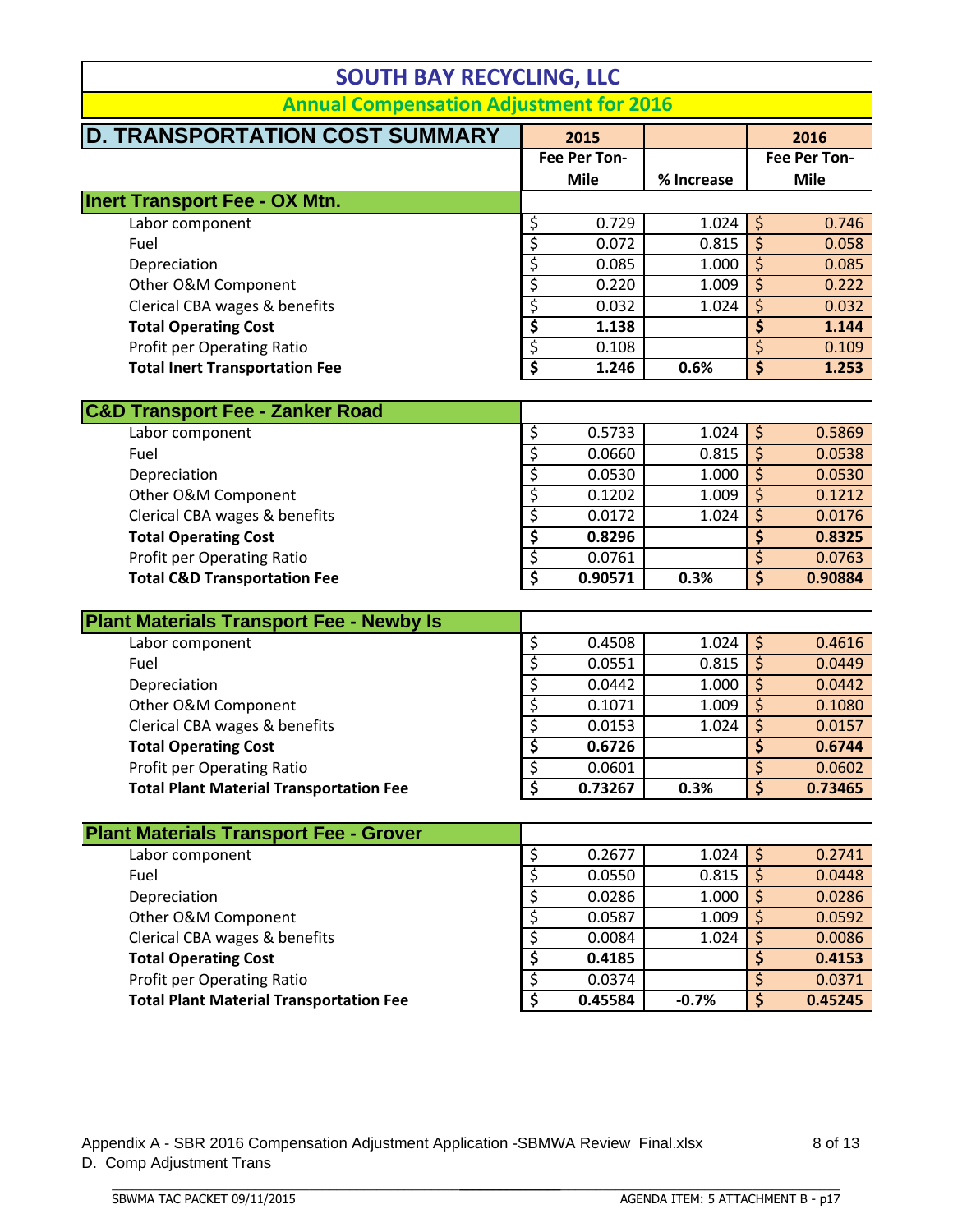| <b>SOUTH BAY RECYCLING, LLC</b>                 |                                     |                     |            |                                 |                     |  |  |
|-------------------------------------------------|-------------------------------------|---------------------|------------|---------------------------------|---------------------|--|--|
| <b>Annual Compensation Adjustment for 2016</b>  |                                     |                     |            |                                 |                     |  |  |
| D. TRANSPORTATION COST SUMMARY                  |                                     | 2015                |            |                                 | 2016                |  |  |
|                                                 |                                     | <b>Fee Per Ton-</b> |            |                                 | <b>Fee Per Ton-</b> |  |  |
|                                                 |                                     | <b>Mile</b>         | % Increase |                                 | <b>Mile</b>         |  |  |
| <b>Inert Transport Fee - OX Mtn.</b>            |                                     |                     |            |                                 |                     |  |  |
| Labor component                                 | \$                                  | 0.729               | 1.024      | $\zeta$                         | 0.746               |  |  |
| Fuel                                            | \$                                  | 0.072               | 0.815      | $\overline{\varsigma}$          | 0.058               |  |  |
| Depreciation                                    | $\overline{\xi}$                    | 0.085               | 1.000      | $\overline{\varsigma}$          | 0.085               |  |  |
| Other O&M Component                             | $\overline{\xi}$                    | 0.220               | 1.009      | $\overline{\varsigma}$          | 0.222               |  |  |
| Clerical CBA wages & benefits                   | \$                                  | 0.032               | 1.024      | $\overline{\varsigma}$          | 0.032               |  |  |
| <b>Total Operating Cost</b>                     | \$                                  | 1.138               |            | \$                              | 1.144               |  |  |
| Profit per Operating Ratio                      | \$                                  | 0.108               |            | \$                              | 0.109               |  |  |
| <b>Total Inert Transportation Fee</b>           | $\overline{\boldsymbol{\xi}}$       | 1.246               | 0.6%       | \$                              | 1.253               |  |  |
|                                                 |                                     |                     |            |                                 |                     |  |  |
| <b>C&amp;D Transport Fee - Zanker Road</b>      |                                     |                     |            |                                 |                     |  |  |
| Labor component                                 | \$                                  | 0.5733              | 1.024      | $\zeta$                         | 0.5869              |  |  |
| Fuel                                            | \$                                  | 0.0660              | 0.815      | $\overline{\varsigma}$          | 0.0538              |  |  |
| Depreciation                                    | $\overline{\xi}$                    | 0.0530              | 1.000      | $\overline{\xi}$                | 0.0530              |  |  |
| Other O&M Component                             | \$                                  | 0.1202              | 1.009      | $\overline{\varsigma}$          | 0.1212              |  |  |
| Clerical CBA wages & benefits                   | \$                                  | 0.0172              | 1.024      | \$                              | 0.0176              |  |  |
| <b>Total Operating Cost</b>                     | \$                                  | 0.8296              |            | \$                              | 0.8325              |  |  |
| Profit per Operating Ratio                      | \$                                  | 0.0761              |            | \$                              | 0.0763              |  |  |
| <b>Total C&amp;D Transportation Fee</b>         | $\overline{\boldsymbol{\varsigma}}$ | 0.90571             | 0.3%       | \$                              | 0.90884             |  |  |
|                                                 |                                     |                     |            |                                 |                     |  |  |
| <b>Plant Materials Transport Fee - Newby Is</b> |                                     |                     |            |                                 |                     |  |  |
| Labor component                                 | $\overline{\varsigma}$              | 0.4508              | 1.024      | $\overline{\varsigma}$          | 0.4616              |  |  |
| Fuel                                            | \$                                  | 0.0551              | 0.815      | $\overline{\varsigma}$          | 0.0449              |  |  |
| Depreciation                                    | \$                                  | 0.0442              | 1.000      | $\overline{\mathcal{S}}$        | 0.0442              |  |  |
| Other O&M Component                             | \$                                  | 0.1071              | 1.009      | $\overline{\xi}$                | 0.1080              |  |  |
| Clerical CBA wages & benefits                   | \$                                  | 0.0153              | 1.024      | \$                              | 0.0157              |  |  |
| <b>Total Operating Cost</b>                     | \$                                  | 0.6726              |            | \$                              | 0.6744              |  |  |
| Profit per Operating Ratio                      | $\mathcal{S}$                       | 0.0601              |            | \$                              | 0.0602              |  |  |
| <b>Total Plant Material Transportation Fee</b>  | $\overline{\boldsymbol{\zeta}}$     | 0.73267             | 0.3%       | \$                              | 0.73465             |  |  |
|                                                 |                                     |                     |            |                                 |                     |  |  |
| <b>Plant Materials Transport Fee - Grover</b>   |                                     |                     |            |                                 |                     |  |  |
| Labor component                                 | \$                                  | 0.2677              | 1.024      | $\zeta$                         | 0.2741              |  |  |
| Fuel                                            | $\overline{\xi}$                    | 0.0550              | 0.815      | $\overline{\varsigma}$          | 0.0448              |  |  |
| Depreciation                                    | \$                                  | 0.0286              | 1.000      | $\overline{\varsigma}$          | 0.0286              |  |  |
| Other O&M Component                             | \$                                  | 0.0587              | 1.009      | \$                              | 0.0592              |  |  |
| Clerical CBA wages & benefits                   | \$                                  | 0.0084              | 1.024      | \$                              | 0.0086              |  |  |
| <b>Total Operating Cost</b>                     | \$                                  | 0.4185              |            | \$                              | 0.4153              |  |  |
| Profit per Operating Ratio                      | \$                                  | 0.0374              |            | \$                              | 0.0371              |  |  |
| <b>Total Plant Material Transportation Fee</b>  | \$                                  | 0.45584             | $-0.7%$    | $\overline{\boldsymbol{\zeta}}$ | 0.45245             |  |  |

Appendix A - SBR 2016 Compensation Adjustment Application -SBMWA Review Final.xlsx D. Comp Adjustment Trans

 $\_$  , and the set of the set of the set of the set of the set of the set of the set of the set of the set of the set of the set of the set of the set of the set of the set of the set of the set of the set of the set of th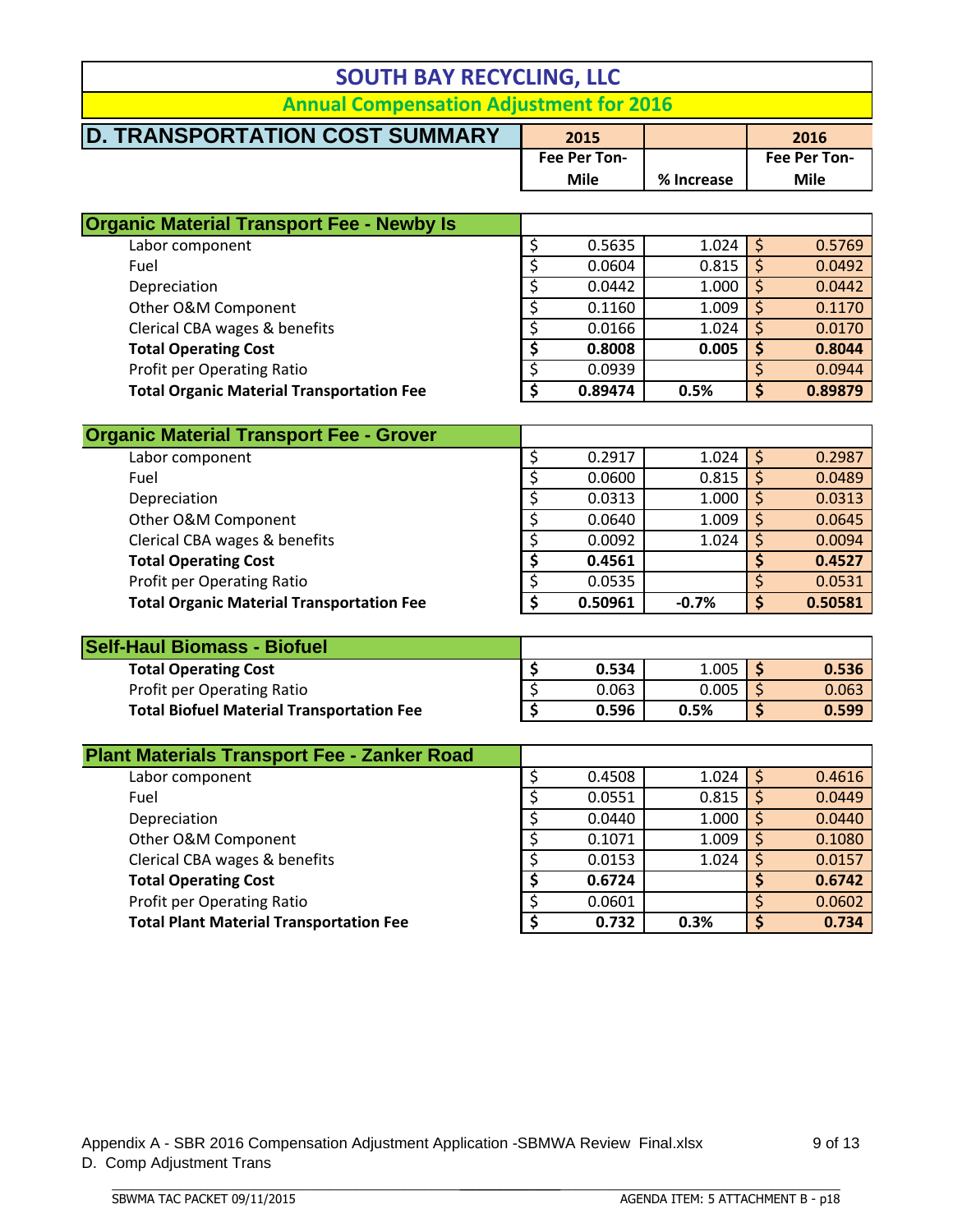### **Annual Compensation Adjustment for 2016**

| <b>D. TRANSPORTATION COST SUMMARY</b> | 2015                |            | 2016                |
|---------------------------------------|---------------------|------------|---------------------|
|                                       | <b>Fee Per Ton-</b> |            | <b>Fee Per Ton-</b> |
|                                       | Mile                | % Increase | Mile                |

| <b>Organic Material Transport Fee - Newby Is</b> |              |       |    |         |
|--------------------------------------------------|--------------|-------|----|---------|
| Labor component                                  | \$<br>0.5635 | 1.024 | \$ | 0.5769  |
| Fuel                                             | 0.0604       | 0.815 | \$ | 0.0492  |
| Depreciation                                     | 0.0442       | 1.000 | \$ | 0.0442  |
| Other O&M Component                              | 0.1160       | 1.009 | \$ | 0.1170  |
| Clerical CBA wages & benefits                    | 0.0166       | 1.024 | \$ | 0.0170  |
| <b>Total Operating Cost</b>                      | 0.8008       | 0.005 | \$ | 0.8044  |
| Profit per Operating Ratio                       | 0.0939       |       | \$ | 0.0944  |
| <b>Total Organic Material Transportation Fee</b> | 0.89474      | 0.5%  | \$ | 0.89879 |
|                                                  |              |       |    |         |
| <b>Organic Material Transport Fee - Grover</b>   |              |       |    |         |
| Labor component                                  | \$<br>0.2917 | 1.024 | \$ | 0.2987  |
| Fuel                                             | 0.0600       | 0.815 | \$ | 0.0489  |
| Depreciation                                     | 0.0313       | 1.000 | \$ | 0.0313  |
| Other O&M Component                              | 0.0640       | 1.009 | Ś  | 0.0645  |

Clerical CBA wages & benefits <br>
Total Operating Cost <br>
S 0.4561 <br>
S 0.4527 **Total Operating Cost \$ 0.4561 \$ 0.4527** Profit per Operating Ratio \$ 0.0535 \$ 0.0531 **Total Organic Material Transportation Fee \$ 0.50961 ‐0.7% \$ 0.50581**

**Total Operating Cost**<br> **8 1.005 \$ 0.536**<br> **1.005 \$ 0.536**<br> **1.005 \$ 0.536**<br> **1.005 \$ 0.063** Profit per Operating Ratio  $\begin{array}{|c|c|c|c|c|c|}\n\hline\n\text{5} & \text{0.063} & \text{0.005} & \text{\text{5}} & \text{0.063} \\
\hline\n\text{Total Bioful Material Transformation fee} & \text{5} & \text{0.596} & \text{0.5\%} & \text{\text{5}} & \text{0.599} \\
\hline\n\end{array}$ 

| <b>Total Biofuel Material Transportation Fee</b>   | Ś | 0.596  | 0.5%  | \$ | 0.599  |
|----------------------------------------------------|---|--------|-------|----|--------|
|                                                    |   |        |       |    |        |
| <b>Plant Materials Transport Fee - Zanker Road</b> |   |        |       |    |        |
| Labor component                                    |   | 0.4508 | 1.024 |    | 0.4616 |
| Fuel                                               |   | 0.0551 | 0.815 |    | 0.0449 |
| Depreciation                                       |   | 0.0440 | 1.000 |    | 0.0440 |
| Other O&M Component                                |   | 0.1071 | 1.009 | \$ | 0.1080 |
| Clerical CBA wages & benefits                      |   | 0.0153 | 1.024 | S  | 0.0157 |
| <b>Total Operating Cost</b>                        |   | 0.6724 |       |    | 0.6742 |
| Profit per Operating Ratio                         |   | 0.0601 |       |    | 0.0602 |
| <b>Total Plant Material Transportation Fee</b>     |   | 0.732  | 0.3%  |    | 0.734  |

Appendix A - SBR 2016 Compensation Adjustment Application -SBMWA Review Final.xlsx D. Comp Adjustment Trans

 $\_$  , and the set of the set of the set of the set of the set of the set of the set of the set of the set of the set of the set of the set of the set of the set of the set of the set of the set of the set of the set of th

9 of 13

**Self-Haul Biomass - Biofuel**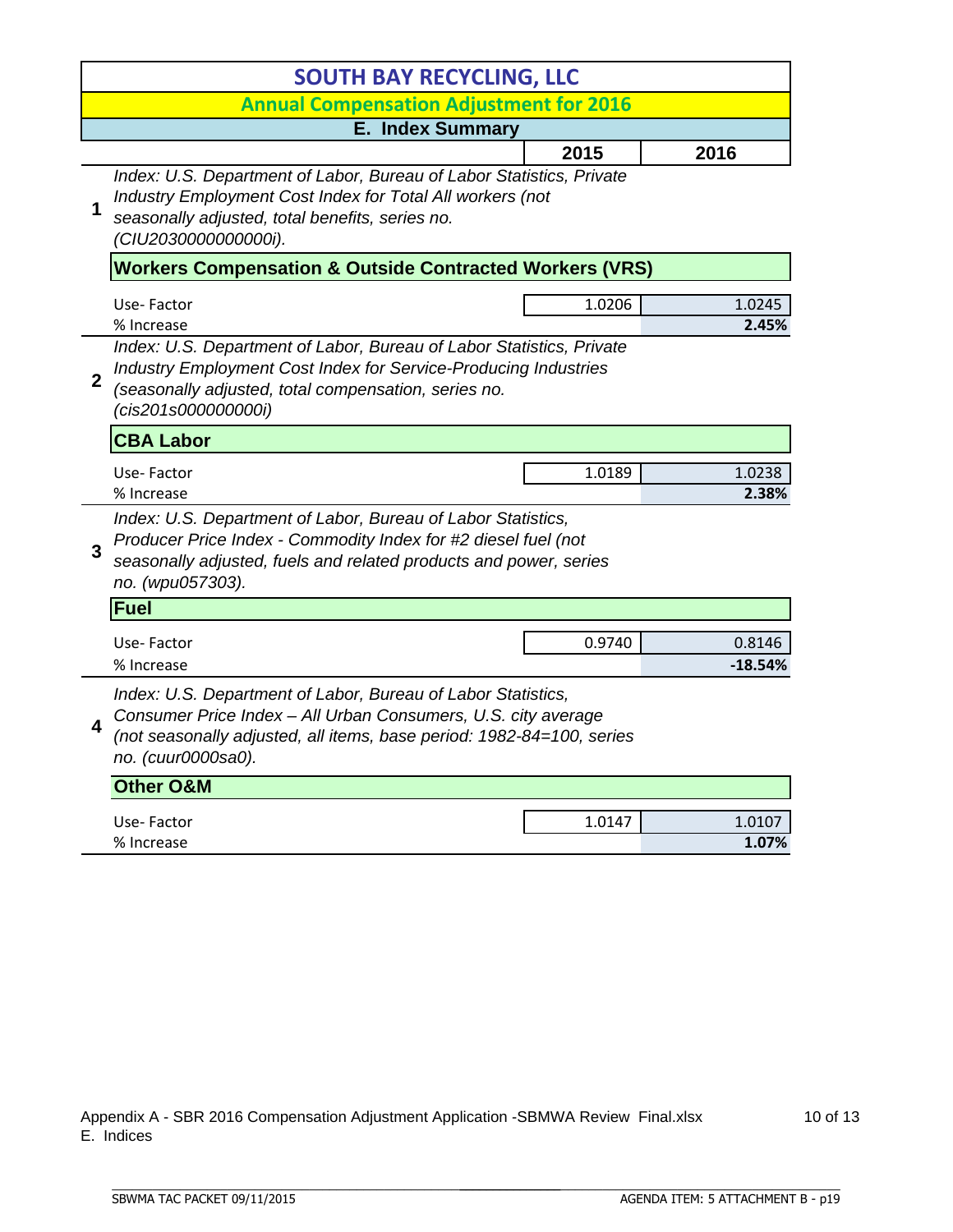|   | <b>SOUTH BAY RECYCLING, LLC</b>                                                                                                                                                                                              |        |                 |  |  |  |
|---|------------------------------------------------------------------------------------------------------------------------------------------------------------------------------------------------------------------------------|--------|-----------------|--|--|--|
|   | <b>Annual Compensation Adjustment for 2016</b>                                                                                                                                                                               |        |                 |  |  |  |
|   | <b>E. Index Summary</b>                                                                                                                                                                                                      |        |                 |  |  |  |
|   |                                                                                                                                                                                                                              | 2015   | 2016            |  |  |  |
| 1 | Index: U.S. Department of Labor, Bureau of Labor Statistics, Private<br>Industry Employment Cost Index for Total All workers (not<br>seasonally adjusted, total benefits, series no.<br>(CIU2030000000000i).                 |        |                 |  |  |  |
|   | <b>Workers Compensation &amp; Outside Contracted Workers (VRS)</b>                                                                                                                                                           |        |                 |  |  |  |
|   | Use-Factor<br>% Increase                                                                                                                                                                                                     | 1.0206 | 1.0245<br>2.45% |  |  |  |
| 2 | Index: U.S. Department of Labor, Bureau of Labor Statistics, Private<br>Industry Employment Cost Index for Service-Producing Industries<br>(seasonally adjusted, total compensation, series no.<br>(cis201s000000000i)       |        |                 |  |  |  |
|   | <b>CBA Labor</b>                                                                                                                                                                                                             |        |                 |  |  |  |
|   | Use-Factor                                                                                                                                                                                                                   | 1.0189 | 1.0238          |  |  |  |
|   | % Increase                                                                                                                                                                                                                   |        | 2.38%           |  |  |  |
| 3 | Index: U.S. Department of Labor, Bureau of Labor Statistics,<br>Producer Price Index - Commodity Index for #2 diesel fuel (not<br>seasonally adjusted, fuels and related products and power, series<br>no. (wpu057303).      |        |                 |  |  |  |
|   | <b>Fuel</b>                                                                                                                                                                                                                  |        |                 |  |  |  |
|   | Use-Factor                                                                                                                                                                                                                   | 0.9740 | 0.8146          |  |  |  |
|   | % Increase                                                                                                                                                                                                                   |        | $-18.54%$       |  |  |  |
| 4 | Index: U.S. Department of Labor, Bureau of Labor Statistics,<br>Consumer Price Index - All Urban Consumers, U.S. city average<br>(not seasonally adjusted, all items, base period: 1982-84=100, series<br>no. (cuur0000sa0). |        |                 |  |  |  |
|   | <b>Other O&amp;M</b>                                                                                                                                                                                                         |        |                 |  |  |  |
|   | Use-Factor                                                                                                                                                                                                                   | 1.0147 | 1.0107          |  |  |  |

% Increase **1.07%**

 $\_$  , and the set of the set of the set of the set of the set of the set of the set of the set of the set of the set of the set of the set of the set of the set of the set of the set of the set of the set of the set of th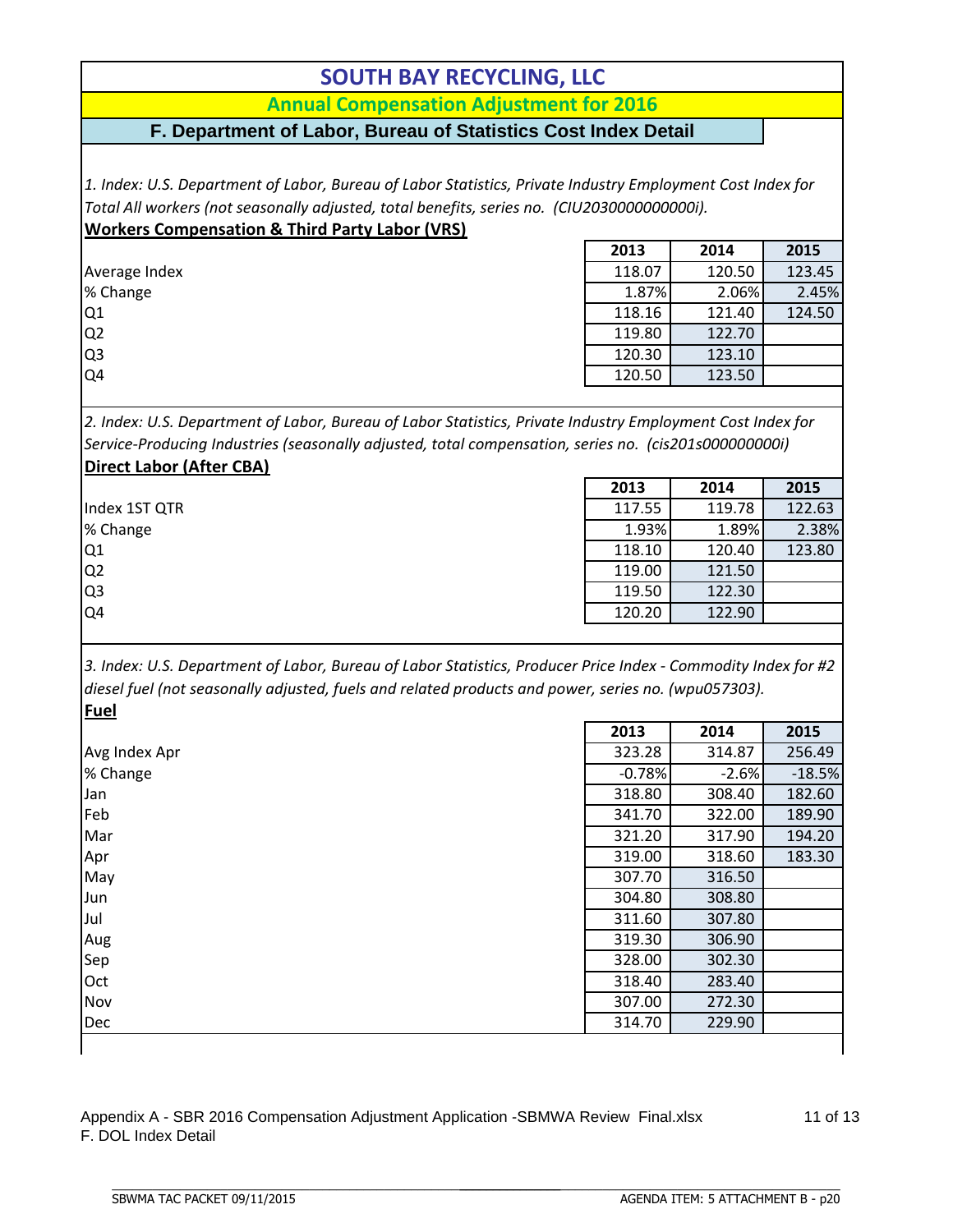| <b>SOUTH BAY RECYCLING, LLC</b>                                                                               |          |         |          |
|---------------------------------------------------------------------------------------------------------------|----------|---------|----------|
| <b>Annual Compensation Adjustment for 2016</b>                                                                |          |         |          |
| F. Department of Labor, Bureau of Statistics Cost Index Detail                                                |          |         |          |
|                                                                                                               |          |         |          |
|                                                                                                               |          |         |          |
| 1. Index: U.S. Department of Labor, Bureau of Labor Statistics, Private Industry Employment Cost Index for    |          |         |          |
| Total All workers (not seasonally adjusted, total benefits, series no. (CIU2030000000000i).                   |          |         |          |
| <b>Workers Compensation &amp; Third Party Labor (VRS)</b>                                                     |          |         |          |
|                                                                                                               | 2013     | 2014    | 2015     |
| Average Index                                                                                                 | 118.07   | 120.50  | 123.45   |
| % Change                                                                                                      | 1.87%    | 2.06%   | 2.45%    |
| Q1                                                                                                            | 118.16   | 121.40  | 124.50   |
| Q <sub>2</sub>                                                                                                | 119.80   | 122.70  |          |
| Q <sub>3</sub>                                                                                                | 120.30   | 123.10  |          |
| Q4                                                                                                            | 120.50   | 123.50  |          |
|                                                                                                               |          |         |          |
| 2. Index: U.S. Department of Labor, Bureau of Labor Statistics, Private Industry Employment Cost Index for    |          |         |          |
| Service-Producing Industries (seasonally adjusted, total compensation, series no. (cis201s000000000i)         |          |         |          |
| <b>Direct Labor (After CBA)</b>                                                                               |          |         |          |
|                                                                                                               | 2013     | 2014    | 2015     |
| Index 1ST QTR                                                                                                 | 117.55   | 119.78  | 122.63   |
| % Change                                                                                                      | 1.93%    | 1.89%   | 2.38%    |
| Q1                                                                                                            | 118.10   | 120.40  | 123.80   |
| Q <sub>2</sub>                                                                                                | 119.00   | 121.50  |          |
| Q <sub>3</sub>                                                                                                | 119.50   | 122.30  |          |
| Q4                                                                                                            | 120.20   | 122.90  |          |
|                                                                                                               |          |         |          |
|                                                                                                               |          |         |          |
| 3. Index: U.S. Department of Labor, Bureau of Labor Statistics, Producer Price Index - Commodity Index for #2 |          |         |          |
| diesel fuel (not seasonally adjusted, fuels and related products and power, series no. (wpu057303).           |          |         |          |
| Fuel                                                                                                          |          |         |          |
|                                                                                                               | 2013     | 2014    | 2015     |
| Avg Index Apr                                                                                                 | 323.28   | 314.87  | 256.49   |
| % Change                                                                                                      | $-0.78%$ | $-2.6%$ | $-18.5%$ |
| Jan                                                                                                           | 318.80   | 308.40  | 182.60   |
| Feb                                                                                                           | 341.70   | 322.00  | 189.90   |
| Mar                                                                                                           | 321.20   | 317.90  | 194.20   |
| Apr                                                                                                           | 319.00   | 318.60  | 183.30   |
| May                                                                                                           | 307.70   | 316.50  |          |
| Jun                                                                                                           | 304.80   | 308.80  |          |
| Jul                                                                                                           | 311.60   | 307.80  |          |
| Aug                                                                                                           | 319.30   | 306.90  |          |
| Sep                                                                                                           | 328.00   | 302.30  |          |
| Oct                                                                                                           | 318.40   | 283.40  |          |
| Nov                                                                                                           | 307.00   | 272.30  |          |
| Dec                                                                                                           | 314.70   | 229.90  |          |
|                                                                                                               |          |         |          |

Appendix A - SBR 2016 Compensation Adjustment Application -SBMWA Review Final.xlsx F. DOL Index Detail

 $\_$  , and the set of the set of the set of the set of the set of the set of the set of the set of the set of the set of the set of the set of the set of the set of the set of the set of the set of the set of the set of th

11 of 13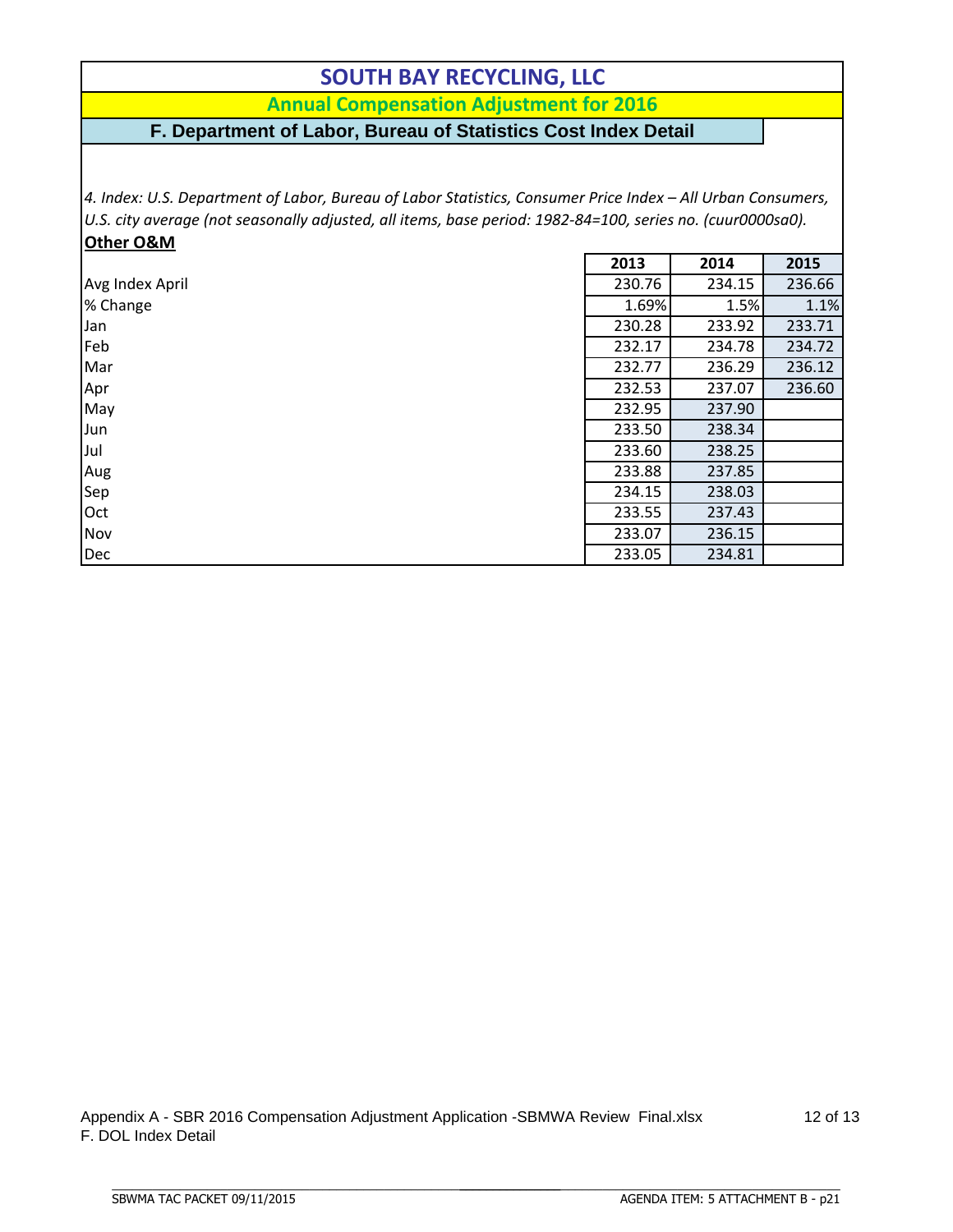**Annual Compensation Adjustment for 2016**

#### **F. Department of Labor, Bureau of Statistics Cost Index Detail**

4. Index: U.S. Department of Labor, Bureau of Labor Statistics, Consumer Price Index - All Urban Consumers, *U.S. city average (not seasonally adjusted, all items, base period: 1982‐84=100, series no. (cuur0000sa0).*

| Other O&M       |        |        |        |  |
|-----------------|--------|--------|--------|--|
|                 | 2013   | 2014   | 2015   |  |
| Avg Index April | 230.76 | 234.15 | 236.66 |  |
| % Change        | 1.69%  | 1.5%   | 1.1%   |  |
| Jan             | 230.28 | 233.92 | 233.71 |  |
| Feb             | 232.17 | 234.78 | 234.72 |  |
| Mar             | 232.77 | 236.29 | 236.12 |  |
| Apr             | 232.53 | 237.07 | 236.60 |  |
| May             | 232.95 | 237.90 |        |  |
| Jun             | 233.50 | 238.34 |        |  |
| Jul             | 233.60 | 238.25 |        |  |
| Aug             | 233.88 | 237.85 |        |  |
| Sep             | 234.15 | 238.03 |        |  |
| Oct             | 233.55 | 237.43 |        |  |
| Nov             | 233.07 | 236.15 |        |  |
| Dec             | 233.05 | 234.81 |        |  |

Appendix A - SBR 2016 Compensation Adjustment Application -SBMWA Review Final.xlsx F. DOL Index Detail

 $\_$  , and the set of the set of the set of the set of the set of the set of the set of the set of the set of the set of the set of the set of the set of the set of the set of the set of the set of the set of the set of th

12 of 13